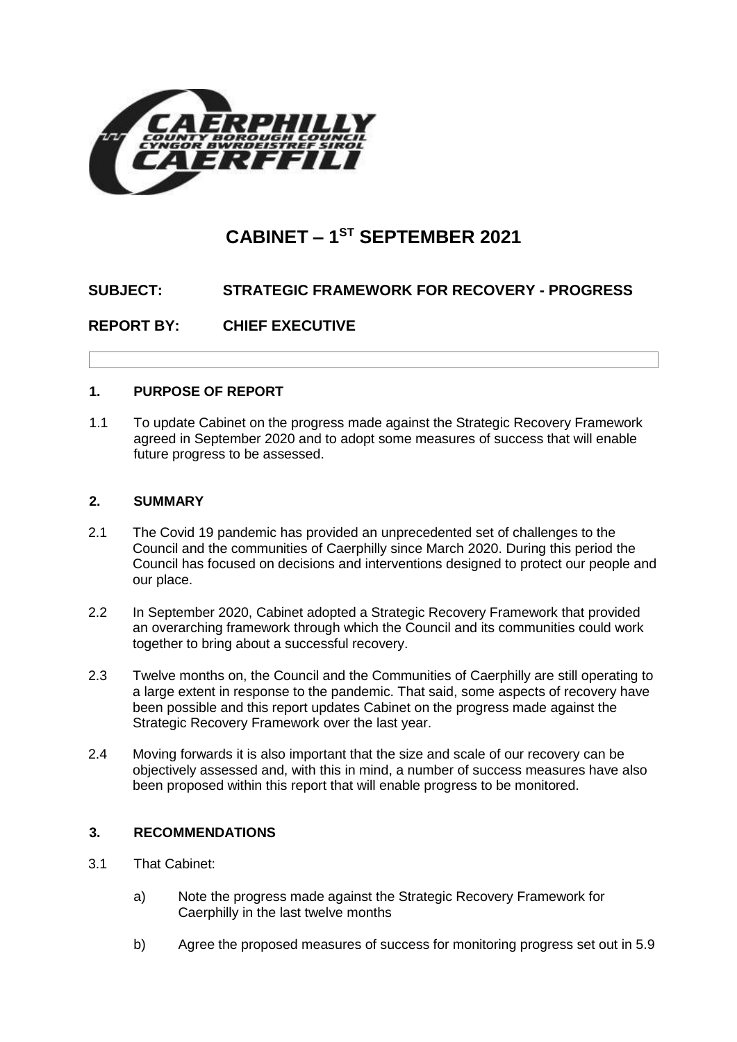

# **CABINET – 1 ST SEPTEMBER 2021**

# **SUBJECT: STRATEGIC FRAMEWORK FOR RECOVERY - PROGRESS**

**REPORT BY: CHIEF EXECUTIVE** 

# **1. PURPOSE OF REPORT**

1.1 To update Cabinet on the progress made against the Strategic Recovery Framework agreed in September 2020 and to adopt some measures of success that will enable future progress to be assessed.

# **2. SUMMARY**

- 2.1 The Covid 19 pandemic has provided an unprecedented set of challenges to the Council and the communities of Caerphilly since March 2020. During this period the Council has focused on decisions and interventions designed to protect our people and our place.
- 2.2 In September 2020, Cabinet adopted a Strategic Recovery Framework that provided an overarching framework through which the Council and its communities could work together to bring about a successful recovery.
- 2.3 Twelve months on, the Council and the Communities of Caerphilly are still operating to a large extent in response to the pandemic. That said, some aspects of recovery have been possible and this report updates Cabinet on the progress made against the Strategic Recovery Framework over the last year.
- 2.4 Moving forwards it is also important that the size and scale of our recovery can be objectively assessed and, with this in mind, a number of success measures have also been proposed within this report that will enable progress to be monitored.

# **3. RECOMMENDATIONS**

- 3.1 That Cabinet:
	- a) Note the progress made against the Strategic Recovery Framework for Caerphilly in the last twelve months
	- b) Agree the proposed measures of success for monitoring progress set out in 5.9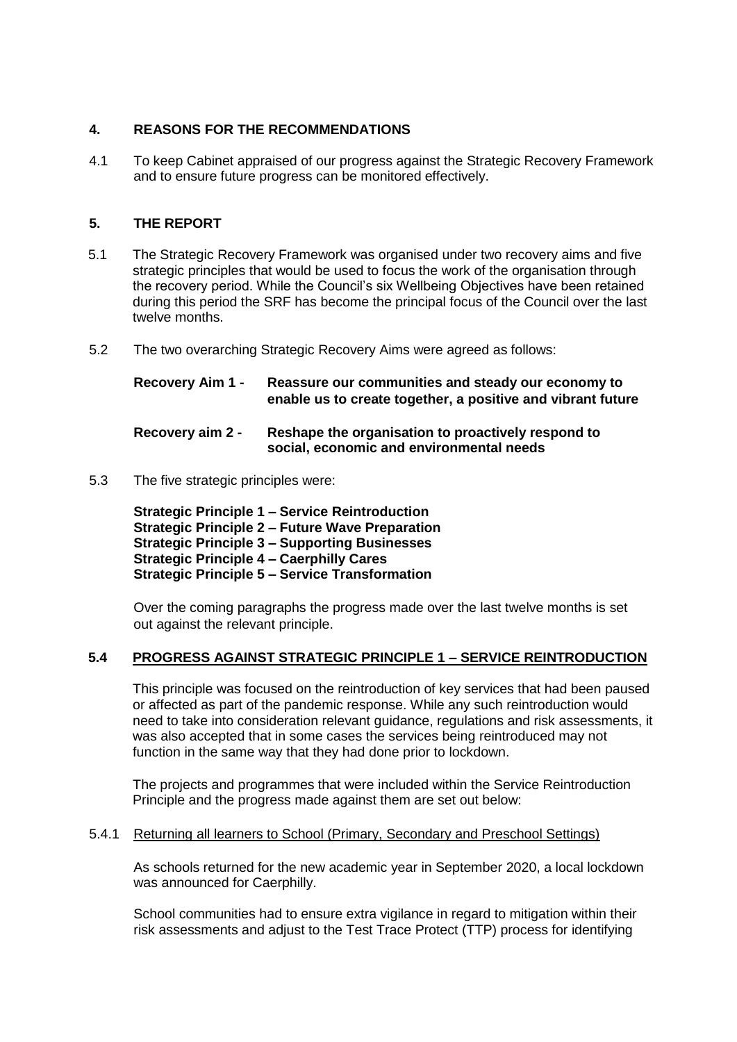# **4. REASONS FOR THE RECOMMENDATIONS**

4.1 To keep Cabinet appraised of our progress against the Strategic Recovery Framework and to ensure future progress can be monitored effectively.

# **5. THE REPORT**

- 5.1 The Strategic Recovery Framework was organised under two recovery aims and five strategic principles that would be used to focus the work of the organisation through the recovery period. While the Council's six Wellbeing Objectives have been retained during this period the SRF has become the principal focus of the Council over the last twelve months.
- 5.2 The two overarching Strategic Recovery Aims were agreed as follows:

| <b>Recovery Aim 1 -</b>              | Reassure our communities and steady our economy to<br>enable us to create together, a positive and vibrant future |
|--------------------------------------|-------------------------------------------------------------------------------------------------------------------|
| $D_{\mathbf{A}\mathbf{A}\mathbf{A}}$ | <b>Dechange the examination to proportively recognal to</b>                                                       |

- **Recovery aim 2 Reshape the organisation to proactively respond to social, economic and environmental needs**
- 5.3 The five strategic principles were:

**Strategic Principle 1 – Service Reintroduction Strategic Principle 2 – Future Wave Preparation Strategic Principle 3 – Supporting Businesses Strategic Principle 4 – Caerphilly Cares Strategic Principle 5 – Service Transformation**

Over the coming paragraphs the progress made over the last twelve months is set out against the relevant principle.

# **5.4 PROGRESS AGAINST STRATEGIC PRINCIPLE 1 – SERVICE REINTRODUCTION**

This principle was focused on the reintroduction of key services that had been paused or affected as part of the pandemic response. While any such reintroduction would need to take into consideration relevant guidance, regulations and risk assessments, it was also accepted that in some cases the services being reintroduced may not function in the same way that they had done prior to lockdown.

The projects and programmes that were included within the Service Reintroduction Principle and the progress made against them are set out below:

# 5.4.1 Returning all learners to School (Primary, Secondary and Preschool Settings)

As schools returned for the new academic year in September 2020, a local lockdown was announced for Caerphilly.

School communities had to ensure extra vigilance in regard to mitigation within their risk assessments and adjust to the Test Trace Protect (TTP) process for identifying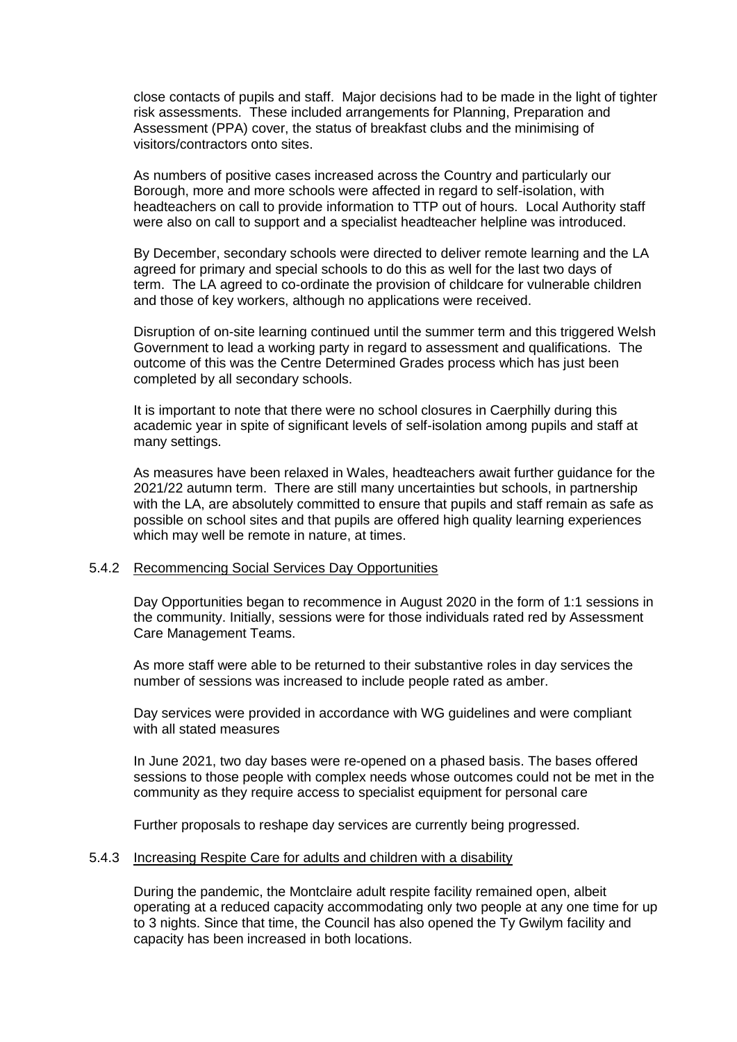close contacts of pupils and staff. Major decisions had to be made in the light of tighter risk assessments. These included arrangements for Planning, Preparation and Assessment (PPA) cover, the status of breakfast clubs and the minimising of visitors/contractors onto sites.

As numbers of positive cases increased across the Country and particularly our Borough, more and more schools were affected in regard to self-isolation, with headteachers on call to provide information to TTP out of hours. Local Authority staff were also on call to support and a specialist headteacher helpline was introduced.

By December, secondary schools were directed to deliver remote learning and the LA agreed for primary and special schools to do this as well for the last two days of term. The LA agreed to co-ordinate the provision of childcare for vulnerable children and those of key workers, although no applications were received.

Disruption of on-site learning continued until the summer term and this triggered Welsh Government to lead a working party in regard to assessment and qualifications. The outcome of this was the Centre Determined Grades process which has just been completed by all secondary schools.

It is important to note that there were no school closures in Caerphilly during this academic year in spite of significant levels of self-isolation among pupils and staff at many settings.

As measures have been relaxed in Wales, headteachers await further guidance for the 2021/22 autumn term. There are still many uncertainties but schools, in partnership with the LA, are absolutely committed to ensure that pupils and staff remain as safe as possible on school sites and that pupils are offered high quality learning experiences which may well be remote in nature, at times.

#### 5.4.2 Recommencing Social Services Day Opportunities

Day Opportunities began to recommence in August 2020 in the form of 1:1 sessions in the community. Initially, sessions were for those individuals rated red by Assessment Care Management Teams.

As more staff were able to be returned to their substantive roles in day services the number of sessions was increased to include people rated as amber.

Day services were provided in accordance with WG guidelines and were compliant with all stated measures

In June 2021, two day bases were re-opened on a phased basis. The bases offered sessions to those people with complex needs whose outcomes could not be met in the community as they require access to specialist equipment for personal care

Further proposals to reshape day services are currently being progressed.

#### 5.4.3 Increasing Respite Care for adults and children with a disability

During the pandemic, the Montclaire adult respite facility remained open, albeit operating at a reduced capacity accommodating only two people at any one time for up to 3 nights. Since that time, the Council has also opened the Ty Gwilym facility and capacity has been increased in both locations.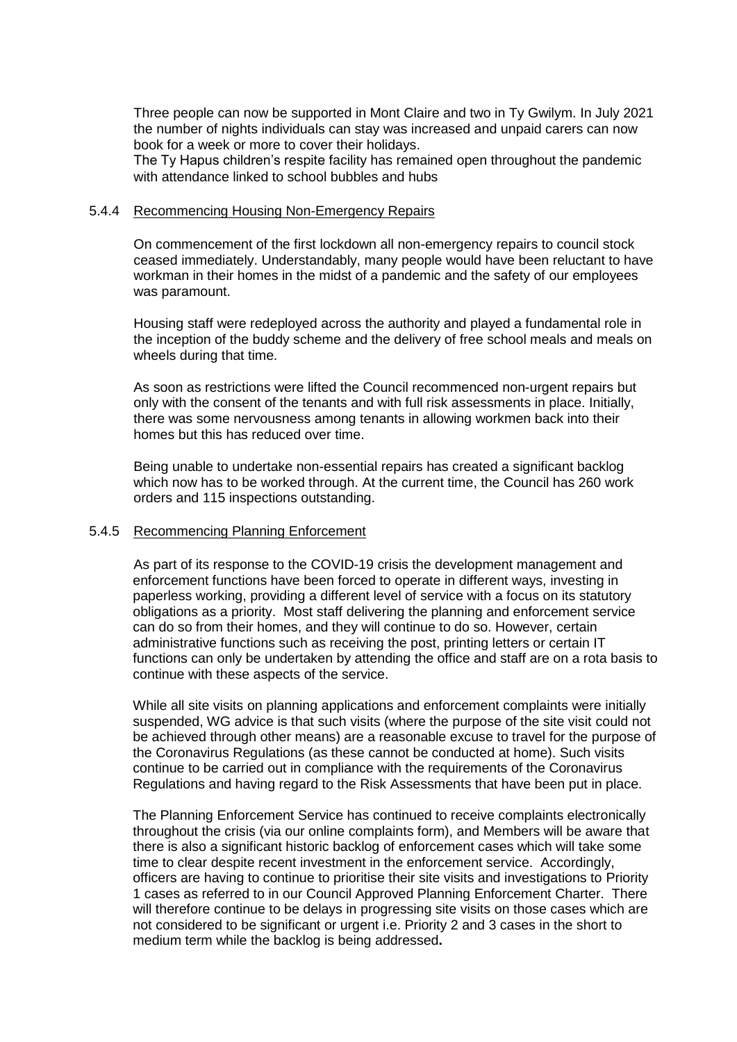Three people can now be supported in Mont Claire and two in Ty Gwilym. In July 2021 the number of nights individuals can stay was increased and unpaid carers can now book for a week or more to cover their holidays.

The Ty Hapus children's respite facility has remained open throughout the pandemic with attendance linked to school bubbles and hubs

#### 5.4.4 Recommencing Housing Non-Emergency Repairs

On commencement of the first lockdown all non-emergency repairs to council stock ceased immediately. Understandably, many people would have been reluctant to have workman in their homes in the midst of a pandemic and the safety of our employees was paramount.

Housing staff were redeployed across the authority and played a fundamental role in the inception of the buddy scheme and the delivery of free school meals and meals on wheels during that time.

As soon as restrictions were lifted the Council recommenced non-urgent repairs but only with the consent of the tenants and with full risk assessments in place. Initially, there was some nervousness among tenants in allowing workmen back into their homes but this has reduced over time.

Being unable to undertake non-essential repairs has created a significant backlog which now has to be worked through. At the current time, the Council has 260 work orders and 115 inspections outstanding.

#### 5.4.5 Recommencing Planning Enforcement

As part of its response to the COVID-19 crisis the development management and enforcement functions have been forced to operate in different ways, investing in paperless working, providing a different level of service with a focus on its statutory obligations as a priority. Most staff delivering the planning and enforcement service can do so from their homes, and they will continue to do so. However, certain administrative functions such as receiving the post, printing letters or certain IT functions can only be undertaken by attending the office and staff are on a rota basis to continue with these aspects of the service.

While all site visits on planning applications and enforcement complaints were initially suspended, WG advice is that such visits (where the purpose of the site visit could not be achieved through other means) are a reasonable excuse to travel for the purpose of the Coronavirus Regulations (as these cannot be conducted at home). Such visits continue to be carried out in compliance with the requirements of the Coronavirus Regulations and having regard to the Risk Assessments that have been put in place.

The Planning Enforcement Service has continued to receive complaints electronically throughout the crisis (via our online complaints form), and Members will be aware that there is also a significant historic backlog of enforcement cases which will take some time to clear despite recent investment in the enforcement service. Accordingly, officers are having to continue to prioritise their site visits and investigations to Priority 1 cases as referred to in our Council Approved Planning Enforcement Charter. There will therefore continue to be delays in progressing site visits on those cases which are not considered to be significant or urgent i.e. Priority 2 and 3 cases in the short to medium term while the backlog is being addressed**.**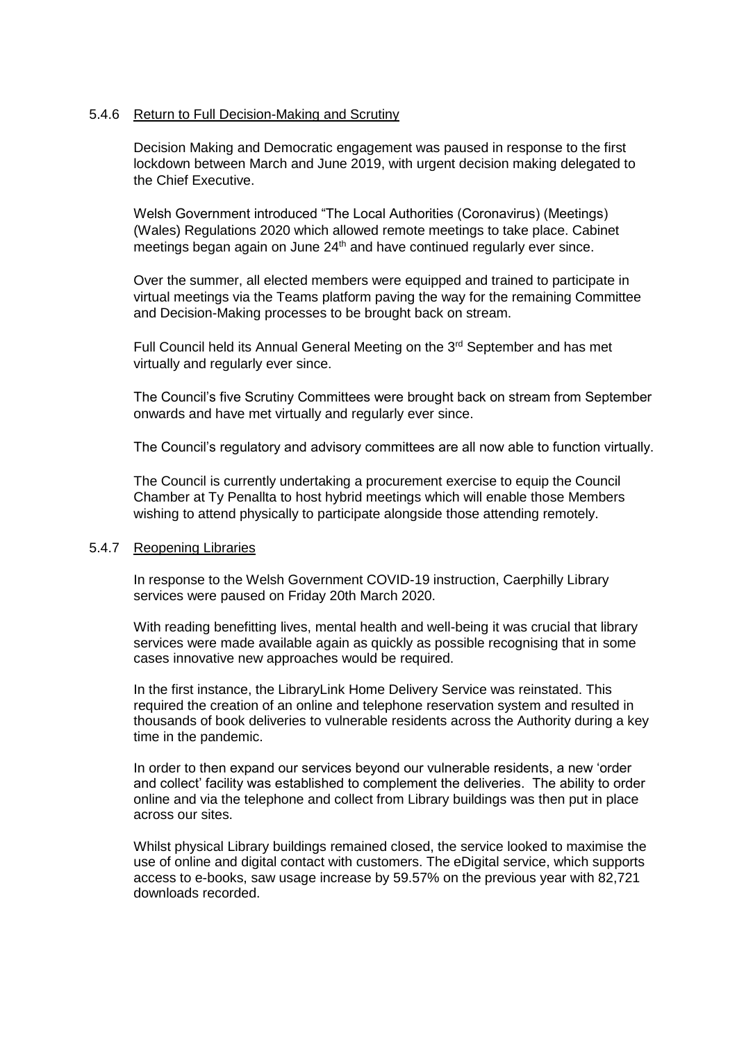### 5.4.6 Return to Full Decision-Making and Scrutiny

Decision Making and Democratic engagement was paused in response to the first lockdown between March and June 2019, with urgent decision making delegated to the Chief Executive.

Welsh Government introduced "The Local Authorities (Coronavirus) (Meetings) (Wales) Regulations 2020 which allowed remote meetings to take place. Cabinet meetings began again on June 24<sup>th</sup> and have continued regularly ever since.

Over the summer, all elected members were equipped and trained to participate in virtual meetings via the Teams platform paving the way for the remaining Committee and Decision-Making processes to be brought back on stream.

Full Council held its Annual General Meeting on the 3<sup>rd</sup> September and has met virtually and regularly ever since.

The Council's five Scrutiny Committees were brought back on stream from September onwards and have met virtually and regularly ever since.

The Council's regulatory and advisory committees are all now able to function virtually.

The Council is currently undertaking a procurement exercise to equip the Council Chamber at Ty Penallta to host hybrid meetings which will enable those Members wishing to attend physically to participate alongside those attending remotely.

## 5.4.7 Reopening Libraries

In response to the Welsh Government COVID-19 instruction, Caerphilly Library services were paused on Friday 20th March 2020.

With reading benefitting lives, mental health and well-being it was crucial that library services were made available again as quickly as possible recognising that in some cases innovative new approaches would be required.

In the first instance, the LibraryLink Home Delivery Service was reinstated. This required the creation of an online and telephone reservation system and resulted in thousands of book deliveries to vulnerable residents across the Authority during a key time in the pandemic.

In order to then expand our services beyond our vulnerable residents, a new 'order and collect' facility was established to complement the deliveries. The ability to order online and via the telephone and collect from Library buildings was then put in place across our sites.

Whilst physical Library buildings remained closed, the service looked to maximise the use of online and digital contact with customers. The eDigital service, which supports access to e-books, saw usage increase by 59.57% on the previous year with 82,721 downloads recorded.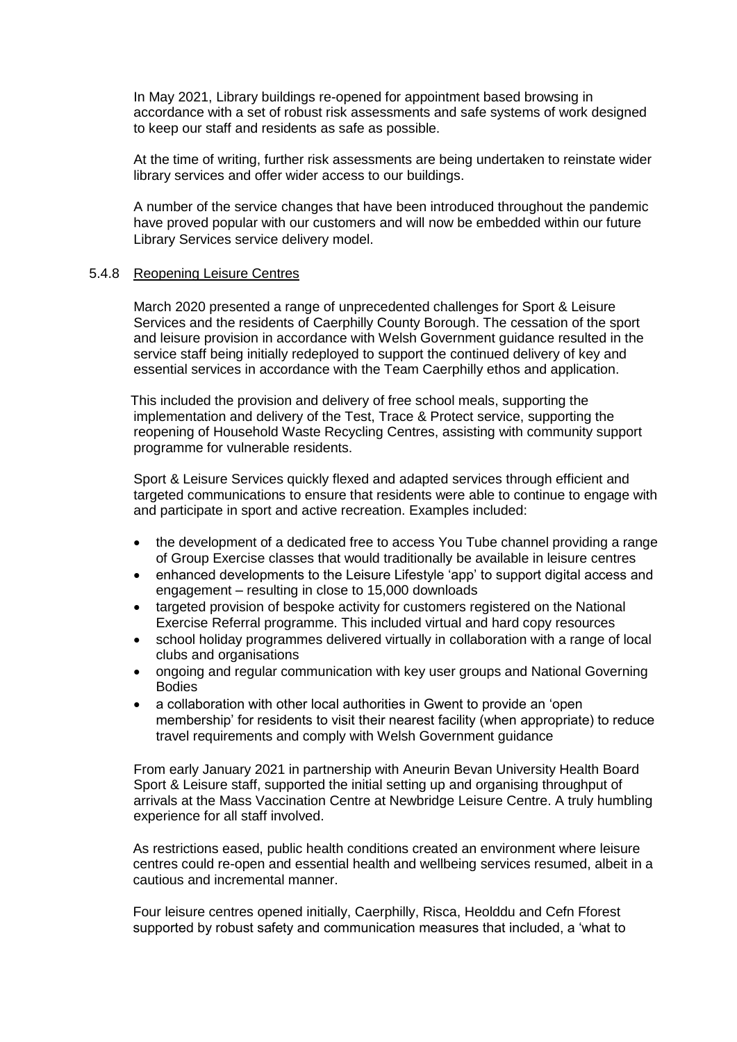In May 2021, Library buildings re-opened for appointment based browsing in accordance with a set of robust risk assessments and safe systems of work designed to keep our staff and residents as safe as possible.

At the time of writing, further risk assessments are being undertaken to reinstate wider library services and offer wider access to our buildings.

A number of the service changes that have been introduced throughout the pandemic have proved popular with our customers and will now be embedded within our future Library Services service delivery model.

#### 5.4.8 Reopening Leisure Centres

March 2020 presented a range of unprecedented challenges for Sport & Leisure Services and the residents of Caerphilly County Borough. The cessation of the sport and leisure provision in accordance with Welsh Government guidance resulted in the service staff being initially redeployed to support the continued delivery of key and essential services in accordance with the Team Caerphilly ethos and application.

 This included the provision and delivery of free school meals, supporting the implementation and delivery of the Test, Trace & Protect service, supporting the reopening of Household Waste Recycling Centres, assisting with community support programme for vulnerable residents.

Sport & Leisure Services quickly flexed and adapted services through efficient and targeted communications to ensure that residents were able to continue to engage with and participate in sport and active recreation. Examples included:

- the development of a dedicated free to access You Tube channel providing a range of Group Exercise classes that would traditionally be available in leisure centres
- enhanced developments to the Leisure Lifestyle 'app' to support digital access and engagement – resulting in close to 15,000 downloads
- targeted provision of bespoke activity for customers registered on the National Exercise Referral programme. This included virtual and hard copy resources
- school holiday programmes delivered virtually in collaboration with a range of local clubs and organisations
- ongoing and regular communication with key user groups and National Governing Bodies
- a collaboration with other local authorities in Gwent to provide an 'open membership' for residents to visit their nearest facility (when appropriate) to reduce travel requirements and comply with Welsh Government guidance

From early January 2021 in partnership with Aneurin Bevan University Health Board Sport & Leisure staff, supported the initial setting up and organising throughput of arrivals at the Mass Vaccination Centre at Newbridge Leisure Centre. A truly humbling experience for all staff involved.

As restrictions eased, public health conditions created an environment where leisure centres could re-open and essential health and wellbeing services resumed, albeit in a cautious and incremental manner.

Four leisure centres opened initially, Caerphilly, Risca, Heolddu and Cefn Fforest supported by robust safety and communication measures that included, a 'what to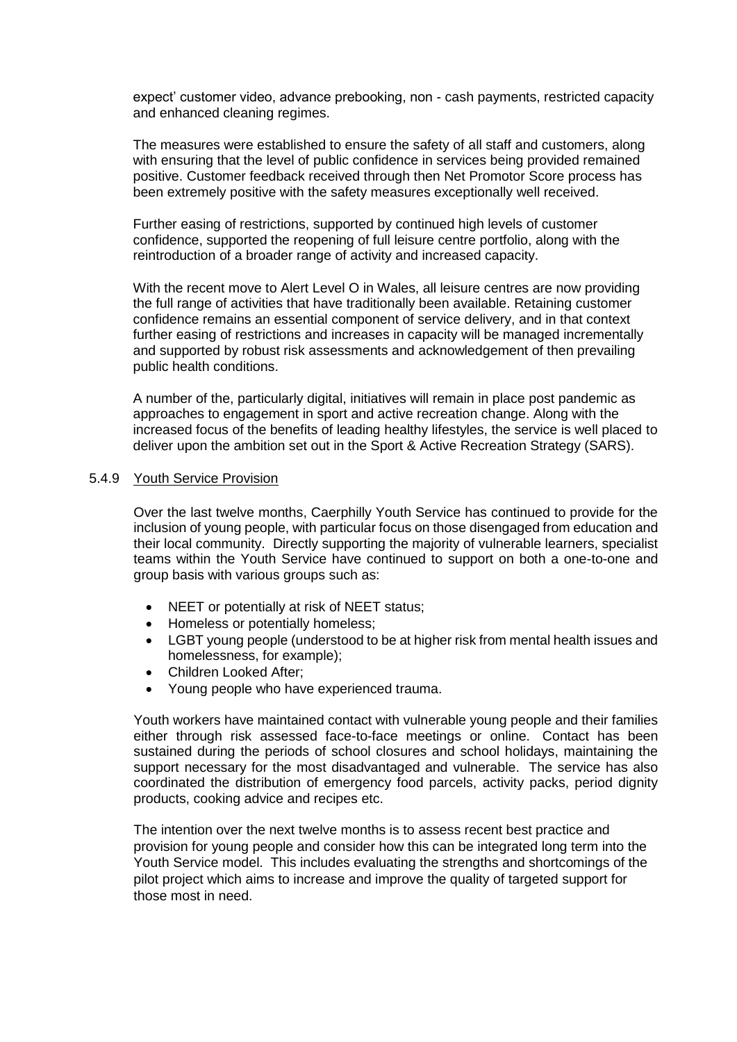expect' customer video, advance prebooking, non - cash payments, restricted capacity and enhanced cleaning regimes.

The measures were established to ensure the safety of all staff and customers, along with ensuring that the level of public confidence in services being provided remained positive. Customer feedback received through then Net Promotor Score process has been extremely positive with the safety measures exceptionally well received.

Further easing of restrictions, supported by continued high levels of customer confidence, supported the reopening of full leisure centre portfolio, along with the reintroduction of a broader range of activity and increased capacity.

With the recent move to Alert Level O in Wales, all leisure centres are now providing the full range of activities that have traditionally been available. Retaining customer confidence remains an essential component of service delivery, and in that context further easing of restrictions and increases in capacity will be managed incrementally and supported by robust risk assessments and acknowledgement of then prevailing public health conditions.

A number of the, particularly digital, initiatives will remain in place post pandemic as approaches to engagement in sport and active recreation change. Along with the increased focus of the benefits of leading healthy lifestyles, the service is well placed to deliver upon the ambition set out in the Sport & Active Recreation Strategy (SARS).

#### 5.4.9 Youth Service Provision

Over the last twelve months, Caerphilly Youth Service has continued to provide for the inclusion of young people, with particular focus on those disengaged from education and their local community. Directly supporting the majority of vulnerable learners, specialist teams within the Youth Service have continued to support on both a one-to-one and group basis with various groups such as:

- NEET or potentially at risk of NEET status;
- Homeless or potentially homeless:
- LGBT young people (understood to be at higher risk from mental health issues and homelessness, for example);
- Children Looked After:
- Young people who have experienced trauma.

Youth workers have maintained contact with vulnerable young people and their families either through risk assessed face-to-face meetings or online. Contact has been sustained during the periods of school closures and school holidays, maintaining the support necessary for the most disadvantaged and vulnerable. The service has also coordinated the distribution of emergency food parcels, activity packs, period dignity products, cooking advice and recipes etc.

The intention over the next twelve months is to assess recent best practice and provision for young people and consider how this can be integrated long term into the Youth Service model. This includes evaluating the strengths and shortcomings of the pilot project which aims to increase and improve the quality of targeted support for those most in need.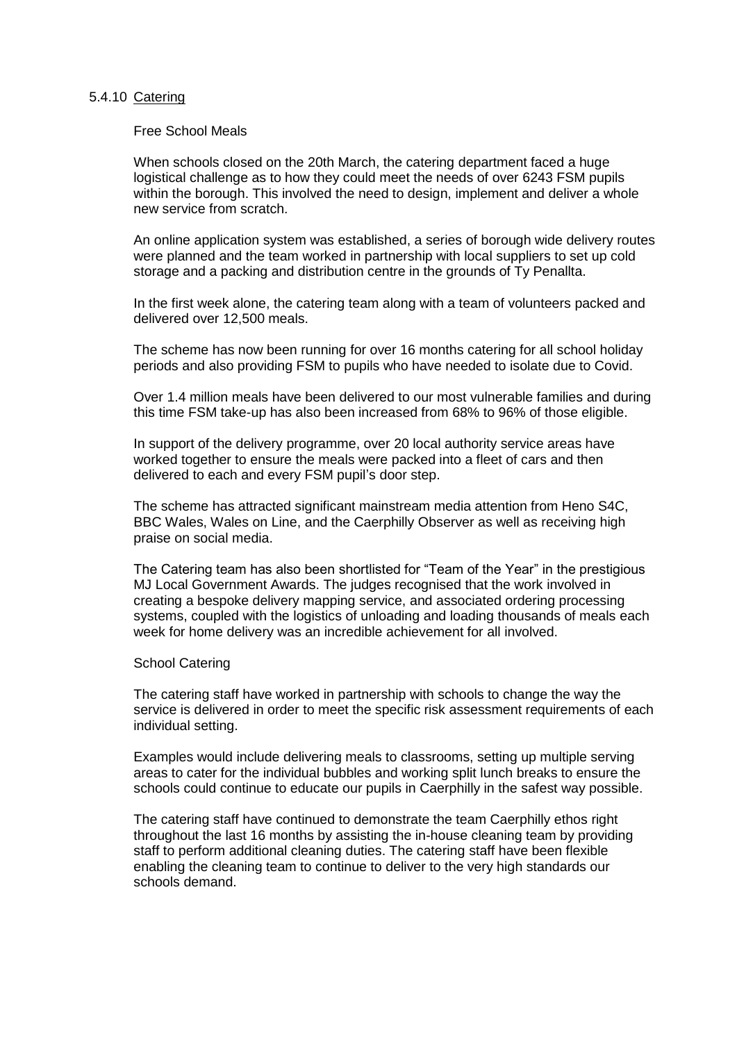#### 5.4.10 Catering

Free School Meals

When schools closed on the 20th March, the catering department faced a huge logistical challenge as to how they could meet the needs of over 6243 FSM pupils within the borough. This involved the need to design, implement and deliver a whole new service from scratch.

An online application system was established, a series of borough wide delivery routes were planned and the team worked in partnership with local suppliers to set up cold storage and a packing and distribution centre in the grounds of Ty Penallta.

In the first week alone, the catering team along with a team of volunteers packed and delivered over 12,500 meals.

The scheme has now been running for over 16 months catering for all school holiday periods and also providing FSM to pupils who have needed to isolate due to Covid.

Over 1.4 million meals have been delivered to our most vulnerable families and during this time FSM take-up has also been increased from 68% to 96% of those eligible.

In support of the delivery programme, over 20 local authority service areas have worked together to ensure the meals were packed into a fleet of cars and then delivered to each and every FSM pupil's door step.

The scheme has attracted significant mainstream media attention from Heno S4C, BBC Wales, Wales on Line, and the Caerphilly Observer as well as receiving high praise on social media.

The Catering team has also been shortlisted for "Team of the Year" in the prestigious MJ Local Government Awards. The judges recognised that the work involved in creating a bespoke delivery mapping service, and associated ordering processing systems, coupled with the logistics of unloading and loading thousands of meals each week for home delivery was an incredible achievement for all involved.

#### School Catering

The catering staff have worked in partnership with schools to change the way the service is delivered in order to meet the specific risk assessment requirements of each individual setting.

Examples would include delivering meals to classrooms, setting up multiple serving areas to cater for the individual bubbles and working split lunch breaks to ensure the schools could continue to educate our pupils in Caerphilly in the safest way possible.

The catering staff have continued to demonstrate the team Caerphilly ethos right throughout the last 16 months by assisting the in-house cleaning team by providing staff to perform additional cleaning duties. The catering staff have been flexible enabling the cleaning team to continue to deliver to the very high standards our schools demand.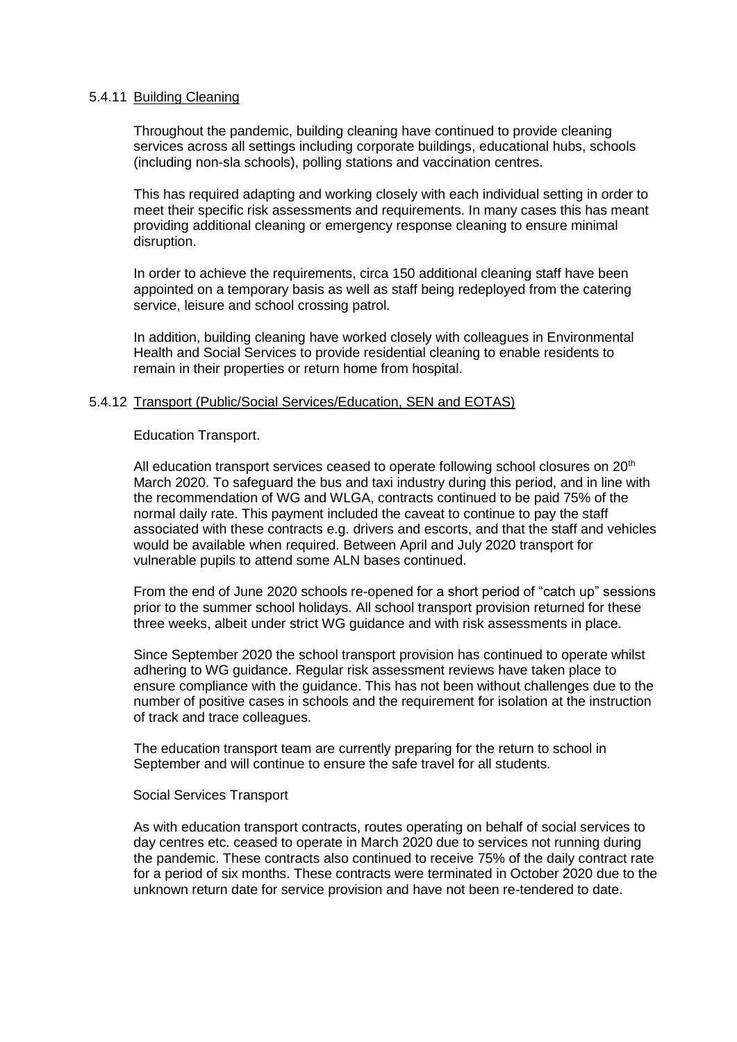#### 5.4.11 Building Cleaning

Throughout the pandemic, building cleaning have continued to provide cleaning services across all settings including corporate buildings, educational hubs, schools (including non-sla schools), polling stations and vaccination centres.

This has required adapting and working closely with each individual setting in order to meet their specific risk assessments and requirements. In many cases this has meant providing additional cleaning or emergency response cleaning to ensure minimal disruption.

In order to achieve the requirements, circa 150 additional cleaning staff have been appointed on a temporary basis as well as staff being redeployed from the catering service, leisure and school crossing patrol.

In addition, building cleaning have worked closely with colleagues in Environmental Health and Social Services to provide residential cleaning to enable residents to remain in their properties or return home from hospital.

# 5.4.12 Transport (Public/Social Services/Education, SEN and EOTAS)

Education Transport.

All education transport services ceased to operate following school closures on 20<sup>th</sup> March 2020. To safeguard the bus and taxi industry during this period, and in line with the recommendation of WG and WLGA, contracts continued to be paid 75% of the normal daily rate. This payment included the caveat to continue to pay the staff associated with these contracts e.g. drivers and escorts, and that the staff and vehicles would be available when required. Between April and July 2020 transport for vulnerable pupils to attend some ALN bases continued.

From the end of June 2020 schools re-opened for a short period of "catch up" sessions prior to the summer school holidays. All school transport provision returned for these three weeks, albeit under strict WG guidance and with risk assessments in place.

Since September 2020 the school transport provision has continued to operate whilst adhering to WG guidance. Regular risk assessment reviews have taken place to ensure compliance with the guidance. This has not been without challenges due to the number of positive cases in schools and the requirement for isolation at the instruction of track and trace colleagues.

The education transport team are currently preparing for the return to school in September and will continue to ensure the safe travel for all students.

#### Social Services Transport

As with education transport contracts, routes operating on behalf of social services to day centres etc. ceased to operate in March 2020 due to services not running during the pandemic. These contracts also continued to receive 75% of the daily contract rate for a period of six months. These contracts were terminated in October 2020 due to the unknown return date for service provision and have not been re-tendered to date.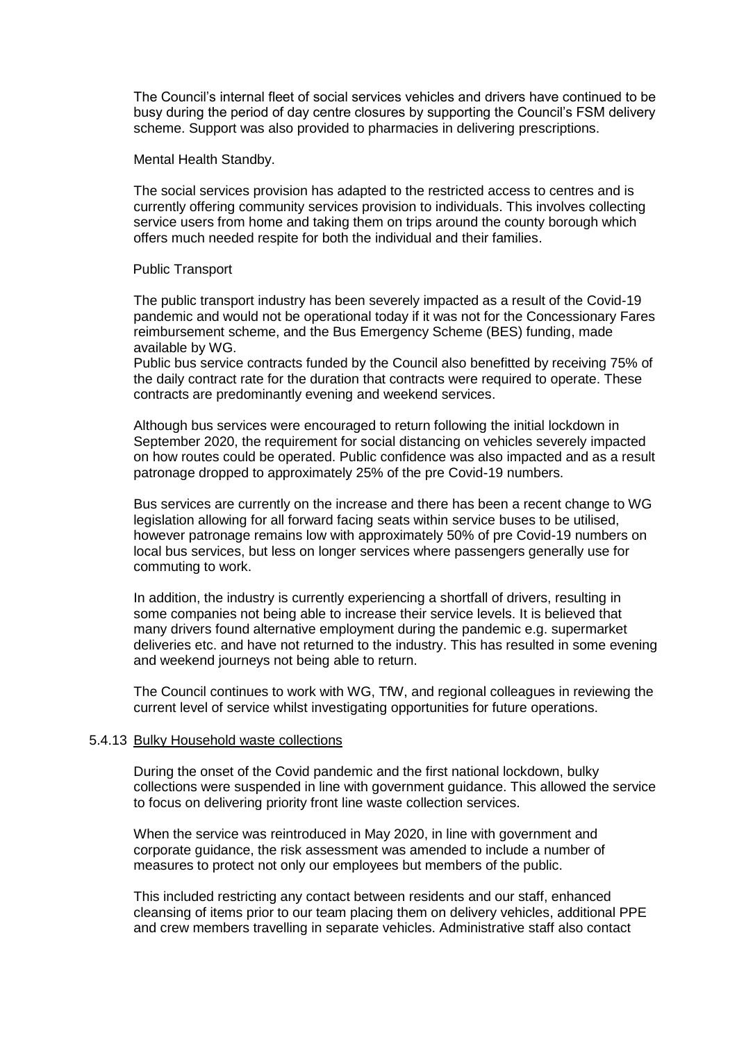The Council's internal fleet of social services vehicles and drivers have continued to be busy during the period of day centre closures by supporting the Council's FSM delivery scheme. Support was also provided to pharmacies in delivering prescriptions.

Mental Health Standby.

The social services provision has adapted to the restricted access to centres and is currently offering community services provision to individuals. This involves collecting service users from home and taking them on trips around the county borough which offers much needed respite for both the individual and their families.

#### Public Transport

The public transport industry has been severely impacted as a result of the Covid-19 pandemic and would not be operational today if it was not for the Concessionary Fares reimbursement scheme, and the Bus Emergency Scheme (BES) funding, made available by WG.

Public bus service contracts funded by the Council also benefitted by receiving 75% of the daily contract rate for the duration that contracts were required to operate. These contracts are predominantly evening and weekend services.

Although bus services were encouraged to return following the initial lockdown in September 2020, the requirement for social distancing on vehicles severely impacted on how routes could be operated. Public confidence was also impacted and as a result patronage dropped to approximately 25% of the pre Covid-19 numbers.

Bus services are currently on the increase and there has been a recent change to WG legislation allowing for all forward facing seats within service buses to be utilised, however patronage remains low with approximately 50% of pre Covid-19 numbers on local bus services, but less on longer services where passengers generally use for commuting to work.

In addition, the industry is currently experiencing a shortfall of drivers, resulting in some companies not being able to increase their service levels. It is believed that many drivers found alternative employment during the pandemic e.g. supermarket deliveries etc. and have not returned to the industry. This has resulted in some evening and weekend journeys not being able to return.

The Council continues to work with WG, TfW, and regional colleagues in reviewing the current level of service whilst investigating opportunities for future operations.

#### 5.4.13 Bulky Household waste collections

During the onset of the Covid pandemic and the first national lockdown, bulky collections were suspended in line with government guidance. This allowed the service to focus on delivering priority front line waste collection services.

When the service was reintroduced in May 2020, in line with government and corporate guidance, the risk assessment was amended to include a number of measures to protect not only our employees but members of the public.

This included restricting any contact between residents and our staff, enhanced cleansing of items prior to our team placing them on delivery vehicles, additional PPE and crew members travelling in separate vehicles. Administrative staff also contact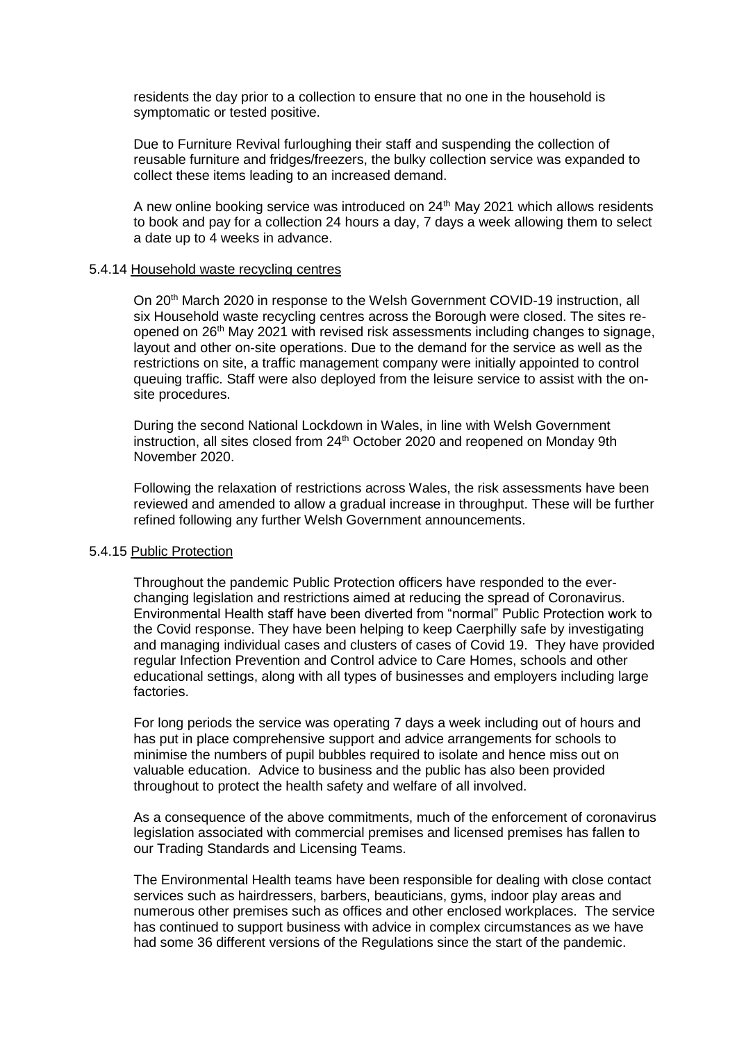residents the day prior to a collection to ensure that no one in the household is symptomatic or tested positive.

Due to Furniture Revival furloughing their staff and suspending the collection of reusable furniture and fridges/freezers, the bulky collection service was expanded to collect these items leading to an increased demand.

A new online booking service was introduced on 24<sup>th</sup> May 2021 which allows residents to book and pay for a collection 24 hours a day, 7 days a week allowing them to select a date up to 4 weeks in advance.

#### 5.4.14 Household waste recycling centres

On 20<sup>th</sup> March 2020 in response to the Welsh Government COVID-19 instruction, all six Household waste recycling centres across the Borough were closed. The sites reopened on 26<sup>th</sup> May 2021 with revised risk assessments including changes to signage, layout and other on-site operations. Due to the demand for the service as well as the restrictions on site, a traffic management company were initially appointed to control queuing traffic. Staff were also deployed from the leisure service to assist with the onsite procedures.

During the second National Lockdown in Wales, in line with Welsh Government instruction, all sites closed from 24<sup>th</sup> October 2020 and reopened on Monday 9th November 2020.

Following the relaxation of restrictions across Wales, the risk assessments have been reviewed and amended to allow a gradual increase in throughput. These will be further refined following any further Welsh Government announcements.

#### 5.4.15 Public Protection

Throughout the pandemic Public Protection officers have responded to the everchanging legislation and restrictions aimed at reducing the spread of Coronavirus. Environmental Health staff have been diverted from "normal" Public Protection work to the Covid response. They have been helping to keep Caerphilly safe by investigating and managing individual cases and clusters of cases of Covid 19. They have provided regular Infection Prevention and Control advice to Care Homes, schools and other educational settings, along with all types of businesses and employers including large factories.

For long periods the service was operating 7 days a week including out of hours and has put in place comprehensive support and advice arrangements for schools to minimise the numbers of pupil bubbles required to isolate and hence miss out on valuable education. Advice to business and the public has also been provided throughout to protect the health safety and welfare of all involved.

As a consequence of the above commitments, much of the enforcement of coronavirus legislation associated with commercial premises and licensed premises has fallen to our Trading Standards and Licensing Teams.

The Environmental Health teams have been responsible for dealing with close contact services such as hairdressers, barbers, beauticians, gyms, indoor play areas and numerous other premises such as offices and other enclosed workplaces. The service has continued to support business with advice in complex circumstances as we have had some 36 different versions of the Regulations since the start of the pandemic.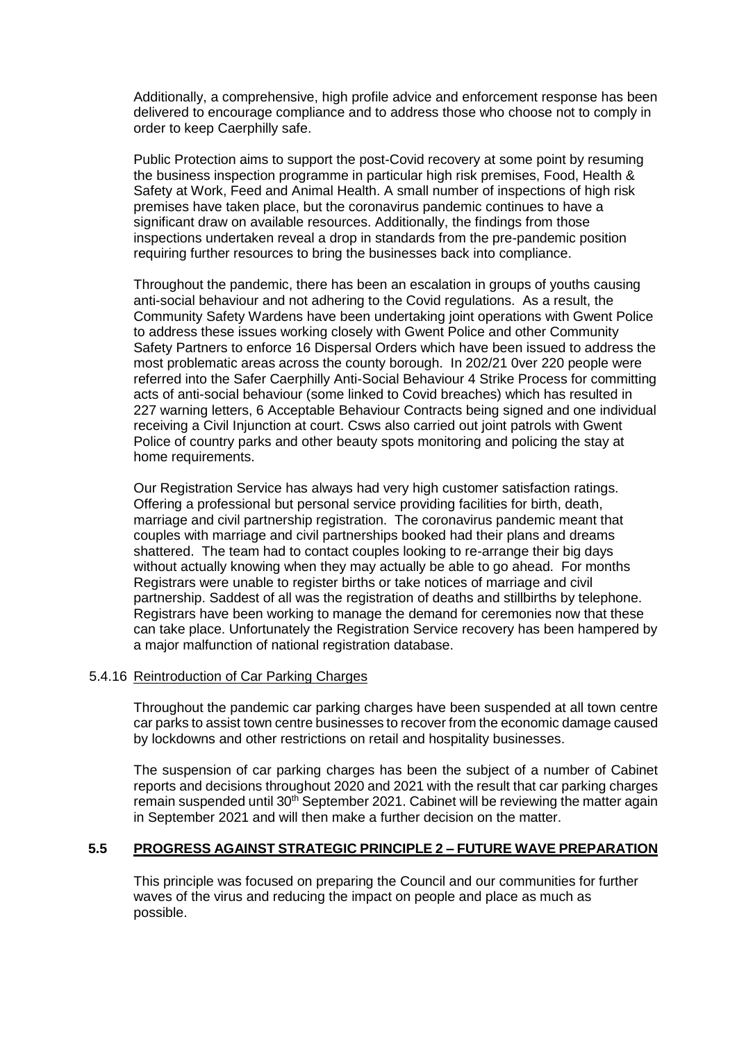Additionally, a comprehensive, high profile advice and enforcement response has been delivered to encourage compliance and to address those who choose not to comply in order to keep Caerphilly safe.

Public Protection aims to support the post-Covid recovery at some point by resuming the business inspection programme in particular high risk premises, Food, Health & Safety at Work, Feed and Animal Health. A small number of inspections of high risk premises have taken place, but the coronavirus pandemic continues to have a significant draw on available resources. Additionally, the findings from those inspections undertaken reveal a drop in standards from the pre-pandemic position requiring further resources to bring the businesses back into compliance.

Throughout the pandemic, there has been an escalation in groups of youths causing anti-social behaviour and not adhering to the Covid regulations. As a result, the Community Safety Wardens have been undertaking joint operations with Gwent Police to address these issues working closely with Gwent Police and other Community Safety Partners to enforce 16 Dispersal Orders which have been issued to address the most problematic areas across the county borough. In 202/21 0ver 220 people were referred into the Safer Caerphilly Anti-Social Behaviour 4 Strike Process for committing acts of anti-social behaviour (some linked to Covid breaches) which has resulted in 227 warning letters, 6 Acceptable Behaviour Contracts being signed and one individual receiving a Civil Injunction at court. Csws also carried out joint patrols with Gwent Police of country parks and other beauty spots monitoring and policing the stay at home requirements.

Our Registration Service has always had very high customer satisfaction ratings. Offering a professional but personal service providing facilities for birth, death, marriage and civil partnership registration. The coronavirus pandemic meant that couples with marriage and civil partnerships booked had their plans and dreams shattered. The team had to contact couples looking to re-arrange their big days without actually knowing when they may actually be able to go ahead. For months Registrars were unable to register births or take notices of marriage and civil partnership. Saddest of all was the registration of deaths and stillbirths by telephone. Registrars have been working to manage the demand for ceremonies now that these can take place. Unfortunately the Registration Service recovery has been hampered by a major malfunction of national registration database.

#### 5.4.16 Reintroduction of Car Parking Charges

Throughout the pandemic car parking charges have been suspended at all town centre car parks to assist town centre businesses to recover from the economic damage caused by lockdowns and other restrictions on retail and hospitality businesses.

The suspension of car parking charges has been the subject of a number of Cabinet reports and decisions throughout 2020 and 2021 with the result that car parking charges remain suspended until 30<sup>th</sup> September 2021. Cabinet will be reviewing the matter again in September 2021 and will then make a further decision on the matter.

# **5.5 PROGRESS AGAINST STRATEGIC PRINCIPLE 2 – FUTURE WAVE PREPARATION**

This principle was focused on preparing the Council and our communities for further waves of the virus and reducing the impact on people and place as much as possible.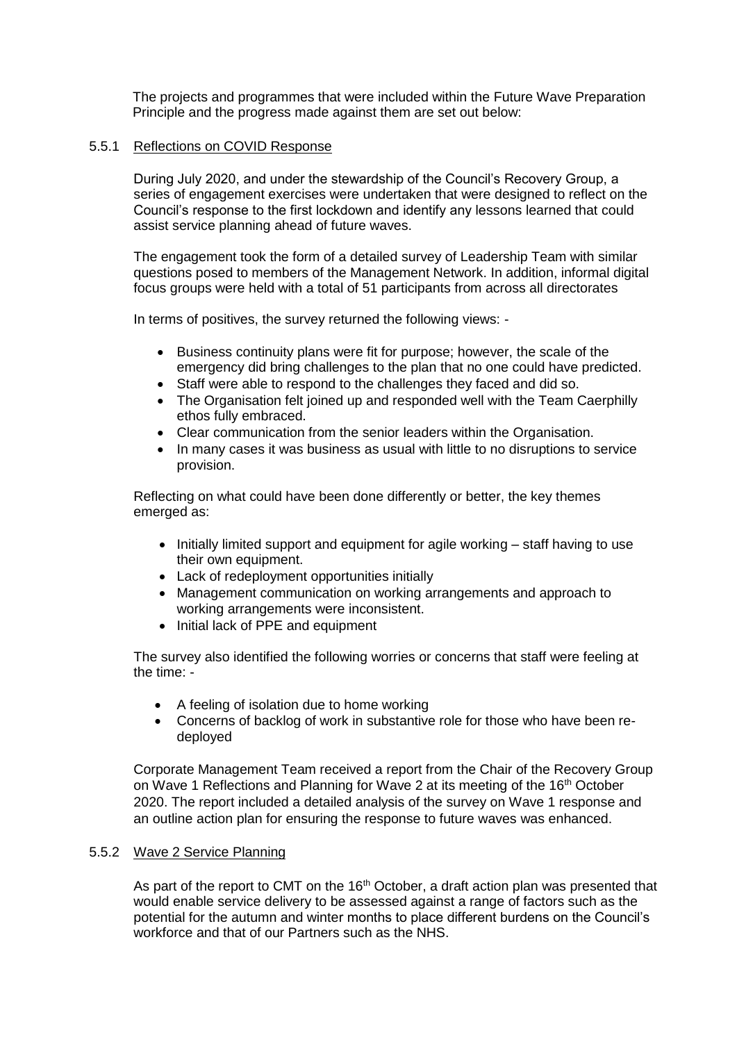The projects and programmes that were included within the Future Wave Preparation Principle and the progress made against them are set out below:

#### 5.5.1 Reflections on COVID Response

During July 2020, and under the stewardship of the Council's Recovery Group, a series of engagement exercises were undertaken that were designed to reflect on the Council's response to the first lockdown and identify any lessons learned that could assist service planning ahead of future waves.

The engagement took the form of a detailed survey of Leadership Team with similar questions posed to members of the Management Network. In addition, informal digital focus groups were held with a total of 51 participants from across all directorates

In terms of positives, the survey returned the following views: -

- Business continuity plans were fit for purpose; however, the scale of the emergency did bring challenges to the plan that no one could have predicted.
- Staff were able to respond to the challenges they faced and did so.
- The Organisation felt joined up and responded well with the Team Caerphilly ethos fully embraced.
- Clear communication from the senior leaders within the Organisation.
- In many cases it was business as usual with little to no disruptions to service provision.

Reflecting on what could have been done differently or better, the key themes emerged as:

- Initially limited support and equipment for agile working staff having to use their own equipment.
- Lack of redeployment opportunities initially
- Management communication on working arrangements and approach to working arrangements were inconsistent.
- Initial lack of PPE and equipment

The survey also identified the following worries or concerns that staff were feeling at the time: -

- A feeling of isolation due to home working
- Concerns of backlog of work in substantive role for those who have been redeployed

Corporate Management Team received a report from the Chair of the Recovery Group on Wave 1 Reflections and Planning for Wave 2 at its meeting of the 16th October 2020. The report included a detailed analysis of the survey on Wave 1 response and an outline action plan for ensuring the response to future waves was enhanced.

# 5.5.2 Wave 2 Service Planning

As part of the report to CMT on the  $16<sup>th</sup>$  October, a draft action plan was presented that would enable service delivery to be assessed against a range of factors such as the potential for the autumn and winter months to place different burdens on the Council's workforce and that of our Partners such as the NHS.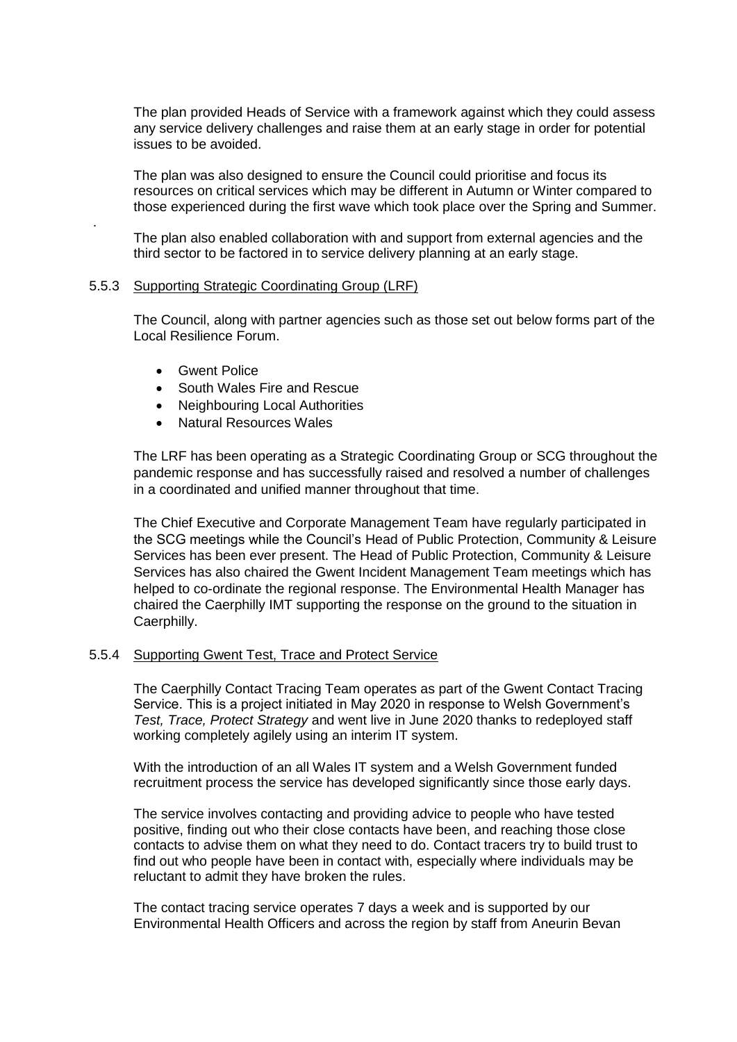The plan provided Heads of Service with a framework against which they could assess any service delivery challenges and raise them at an early stage in order for potential issues to be avoided.

The plan was also designed to ensure the Council could prioritise and focus its resources on critical services which may be different in Autumn or Winter compared to those experienced during the first wave which took place over the Spring and Summer.

The plan also enabled collaboration with and support from external agencies and the third sector to be factored in to service delivery planning at an early stage.

#### 5.5.3 Supporting Strategic Coordinating Group (LRF)

The Council, along with partner agencies such as those set out below forms part of the Local Resilience Forum.

Gwent Police

.

- South Wales Fire and Rescue
- Neighbouring Local Authorities
- Natural Resources Wales

The LRF has been operating as a Strategic Coordinating Group or SCG throughout the pandemic response and has successfully raised and resolved a number of challenges in a coordinated and unified manner throughout that time.

The Chief Executive and Corporate Management Team have regularly participated in the SCG meetings while the Council's Head of Public Protection, Community & Leisure Services has been ever present. The Head of Public Protection, Community & Leisure Services has also chaired the Gwent Incident Management Team meetings which has helped to co-ordinate the regional response. The Environmental Health Manager has chaired the Caerphilly IMT supporting the response on the ground to the situation in Caerphilly.

#### 5.5.4 Supporting Gwent Test, Trace and Protect Service

The Caerphilly Contact Tracing Team operates as part of the Gwent Contact Tracing Service. This is a project initiated in May 2020 in response to Welsh Government's *Test, Trace, Protect Strategy* and went live in June 2020 thanks to redeployed staff working completely agilely using an interim IT system.

With the introduction of an all Wales IT system and a Welsh Government funded recruitment process the service has developed significantly since those early days.

The service involves contacting and providing advice to people who have tested positive, finding out who their close contacts have been, and reaching those close contacts to advise them on what they need to do. Contact tracers try to build trust to find out who people have been in contact with, especially where individuals may be reluctant to admit they have broken the rules.

The contact tracing service operates 7 days a week and is supported by our Environmental Health Officers and across the region by staff from Aneurin Bevan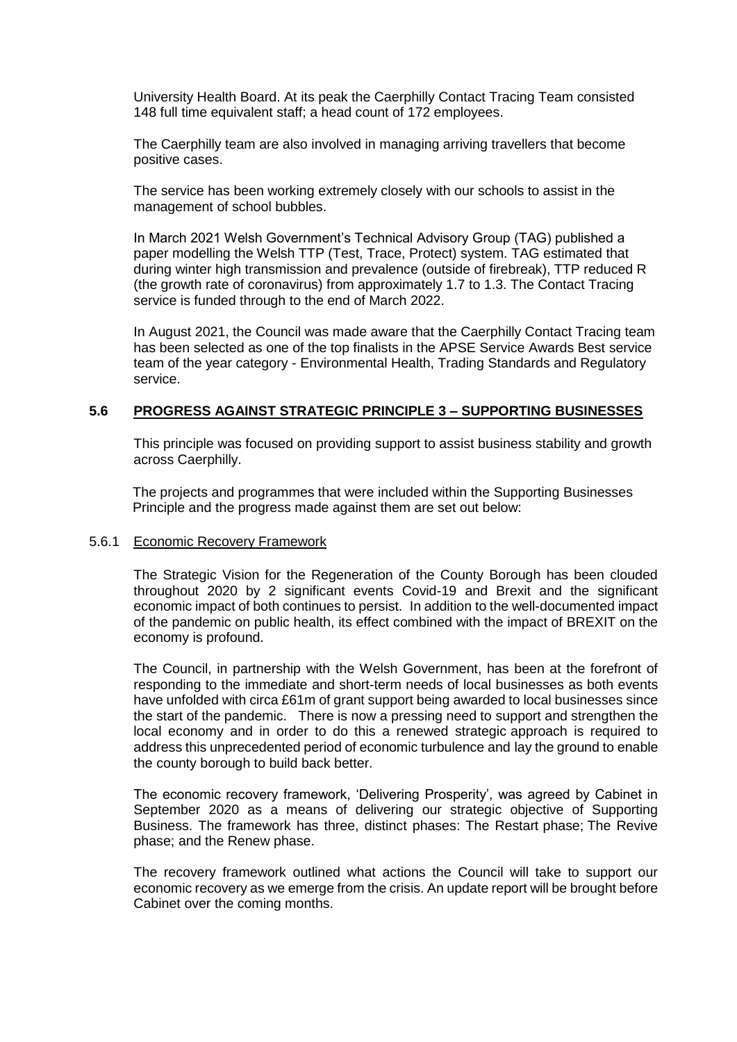University Health Board. At its peak the Caerphilly Contact Tracing Team consisted 148 full time equivalent staff; a head count of 172 employees.

The Caerphilly team are also involved in managing arriving travellers that become positive cases.

The service has been working extremely closely with our schools to assist in the management of school bubbles.

In March 2021 Welsh Government's Technical Advisory Group (TAG) published a paper modelling the Welsh TTP (Test, Trace, Protect) system. TAG estimated that during winter high transmission and prevalence (outside of firebreak), TTP reduced R (the growth rate of coronavirus) from approximately 1.7 to 1.3. The Contact Tracing service is funded through to the end of March 2022.

In August 2021, the Council was made aware that the Caerphilly Contact Tracing team has been selected as one of the top finalists in the APSE Service Awards Best service team of the year category - Environmental Health, Trading Standards and Regulatory service.

#### **5.6 PROGRESS AGAINST STRATEGIC PRINCIPLE 3 – SUPPORTING BUSINESSES**

This principle was focused on providing support to assist business stability and growth across Caerphilly.

The projects and programmes that were included within the Supporting Businesses Principle and the progress made against them are set out below:

#### 5.6.1 Economic Recovery Framework

The Strategic Vision for the Regeneration of the County Borough has been clouded throughout 2020 by 2 significant events Covid-19 and Brexit and the significant economic impact of both continues to persist. In addition to the well-documented impact of the pandemic on public health, its effect combined with the impact of BREXIT on the economy is profound.

The Council, in partnership with the Welsh Government, has been at the forefront of responding to the immediate and short-term needs of local businesses as both events have unfolded with circa £61m of grant support being awarded to local businesses since the start of the pandemic. There is now a pressing need to support and strengthen the local economy and in order to do this a renewed strategic approach is required to address this unprecedented period of economic turbulence and lay the ground to enable the county borough to build back better.

The economic recovery framework, 'Delivering Prosperity', was agreed by Cabinet in September 2020 as a means of delivering our strategic objective of Supporting Business. The framework has three, distinct phases: The Restart phase; The Revive phase; and the Renew phase.

The recovery framework outlined what actions the Council will take to support our economic recovery as we emerge from the crisis. An update report will be brought before Cabinet over the coming months.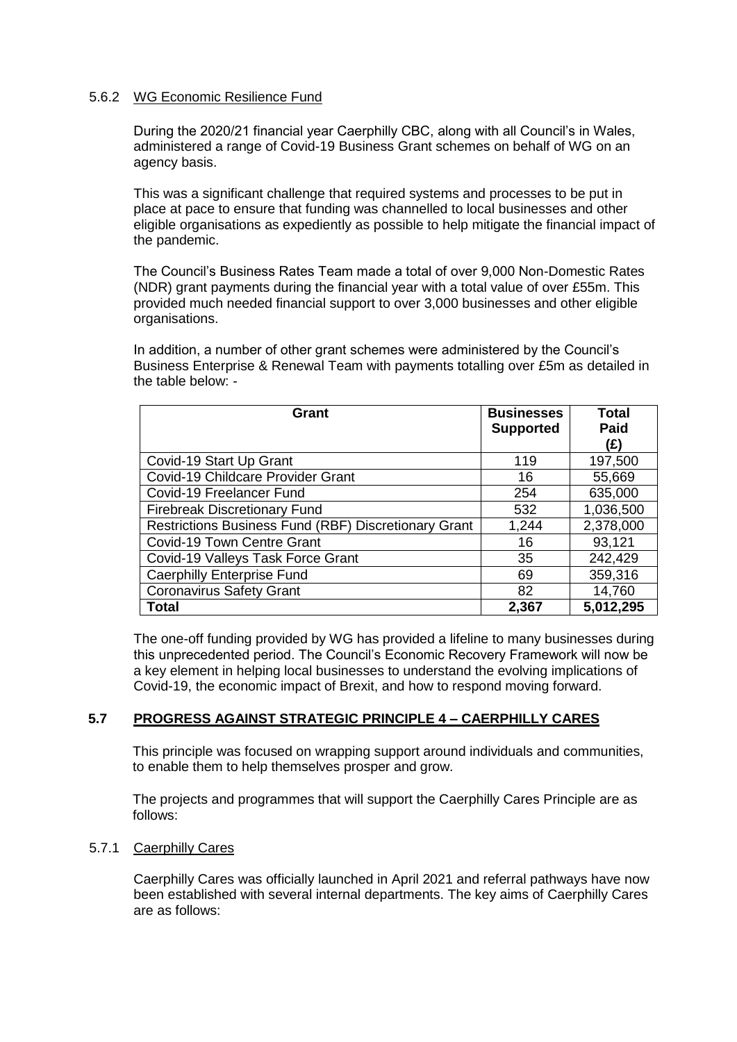# 5.6.2 WG Economic Resilience Fund

During the 2020/21 financial year Caerphilly CBC, along with all Council's in Wales, administered a range of Covid-19 Business Grant schemes on behalf of WG on an agency basis.

This was a significant challenge that required systems and processes to be put in place at pace to ensure that funding was channelled to local businesses and other eligible organisations as expediently as possible to help mitigate the financial impact of the pandemic.

The Council's Business Rates Team made a total of over 9,000 Non-Domestic Rates (NDR) grant payments during the financial year with a total value of over £55m. This provided much needed financial support to over 3,000 businesses and other eligible organisations.

In addition, a number of other grant schemes were administered by the Council's Business Enterprise & Renewal Team with payments totalling over £5m as detailed in the table below: -

| Grant                                                       | <b>Businesses</b><br><b>Supported</b> | <b>Total</b><br>Paid |
|-------------------------------------------------------------|---------------------------------------|----------------------|
|                                                             |                                       | (£)                  |
| Covid-19 Start Up Grant                                     | 119                                   | 197,500              |
| Covid-19 Childcare Provider Grant                           | 16                                    | 55,669               |
| Covid-19 Freelancer Fund                                    | 254                                   | 635,000              |
| <b>Firebreak Discretionary Fund</b>                         | 532                                   | 1,036,500            |
| <b>Restrictions Business Fund (RBF) Discretionary Grant</b> | 1,244                                 | 2,378,000            |
| Covid-19 Town Centre Grant                                  | 16                                    | 93,121               |
| Covid-19 Valleys Task Force Grant                           | 35                                    | 242,429              |
| <b>Caerphilly Enterprise Fund</b>                           | 69                                    | 359,316              |
| <b>Coronavirus Safety Grant</b>                             | 82                                    | 14,760               |
| <b>Total</b>                                                | 2,367                                 | 5,012,295            |

The one-off funding provided by WG has provided a lifeline to many businesses during this unprecedented period. The Council's Economic Recovery Framework will now be a key element in helping local businesses to understand the evolving implications of Covid-19, the economic impact of Brexit, and how to respond moving forward.

# **5.7 PROGRESS AGAINST STRATEGIC PRINCIPLE 4 – CAERPHILLY CARES**

This principle was focused on wrapping support around individuals and communities, to enable them to help themselves prosper and grow.

The projects and programmes that will support the Caerphilly Cares Principle are as follows:

#### 5.7.1 Caerphilly Cares

Caerphilly Cares was officially launched in April 2021 and referral pathways have now been established with several internal departments. The key aims of Caerphilly Cares are as follows: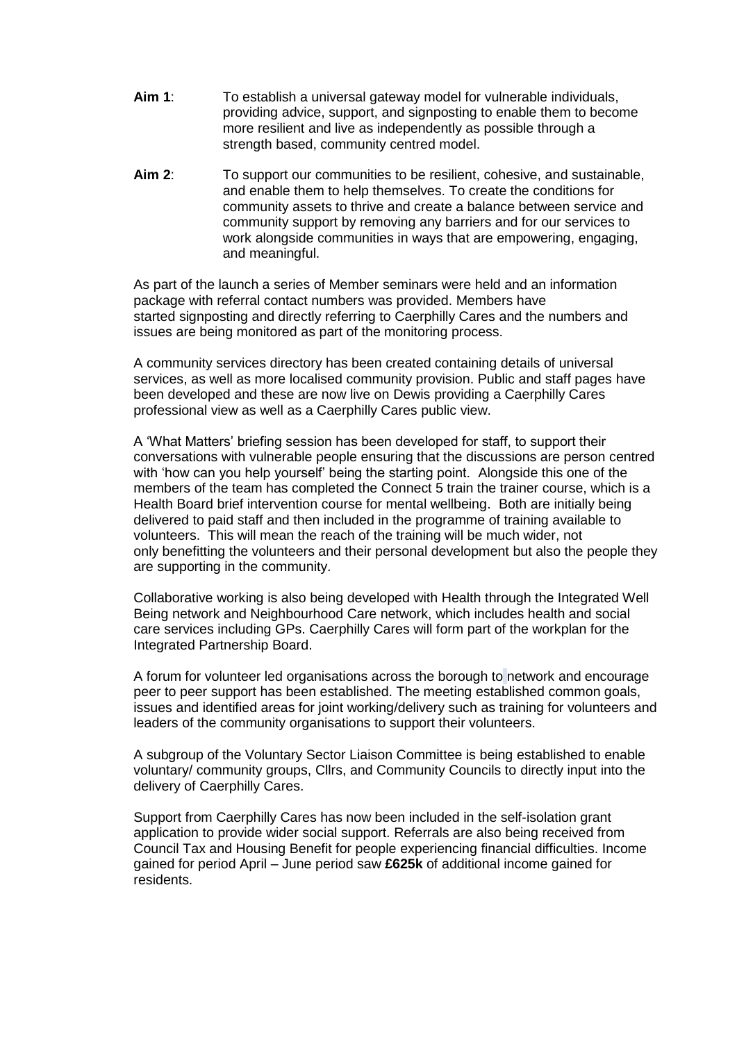- **Aim 1**: To establish a universal gateway model for vulnerable individuals, providing advice, support, and signposting to enable them to become more resilient and live as independently as possible through a strength based, community centred model.
- **Aim 2**: To support our communities to be resilient, cohesive, and sustainable, and enable them to help themselves. To create the conditions for community assets to thrive and create a balance between service and community support by removing any barriers and for our services to work alongside communities in ways that are empowering, engaging, and meaningful.

As part of the launch a series of Member seminars were held and an information package with referral contact numbers was provided. Members have started signposting and directly referring to Caerphilly Cares and the numbers and issues are being monitored as part of the monitoring process.

A community services directory has been created containing details of universal services, as well as more localised community provision. Public and staff pages have been developed and these are now live on Dewis providing a Caerphilly Cares professional view as well as a Caerphilly Cares public view.

A 'What Matters' briefing session has been developed for staff, to support their conversations with vulnerable people ensuring that the discussions are person centred with 'how can you help yourself' being the starting point. Alongside this one of the members of the team has completed the Connect 5 train the trainer course, which is a Health Board brief intervention course for mental wellbeing. Both are initially being delivered to paid staff and then included in the programme of training available to volunteers. This will mean the reach of the training will be much wider, not only benefitting the volunteers and their personal development but also the people they are supporting in the community.

Collaborative working is also being developed with Health through the Integrated Well Being network and Neighbourhood Care network, which includes health and social care services including GPs. Caerphilly Cares will form part of the workplan for the Integrated Partnership Board.

A forum for volunteer led organisations across the borough to network and encourage peer to peer support has been established. The meeting established common goals, issues and identified areas for joint working/delivery such as training for volunteers and leaders of the community organisations to support their volunteers.

A subgroup of the Voluntary Sector Liaison Committee is being established to enable voluntary/ community groups, Cllrs, and Community Councils to directly input into the delivery of Caerphilly Cares.

Support from Caerphilly Cares has now been included in the self-isolation grant application to provide wider social support. Referrals are also being received from Council Tax and Housing Benefit for people experiencing financial difficulties. Income gained for period April – June period saw **£625k** of additional income gained for residents.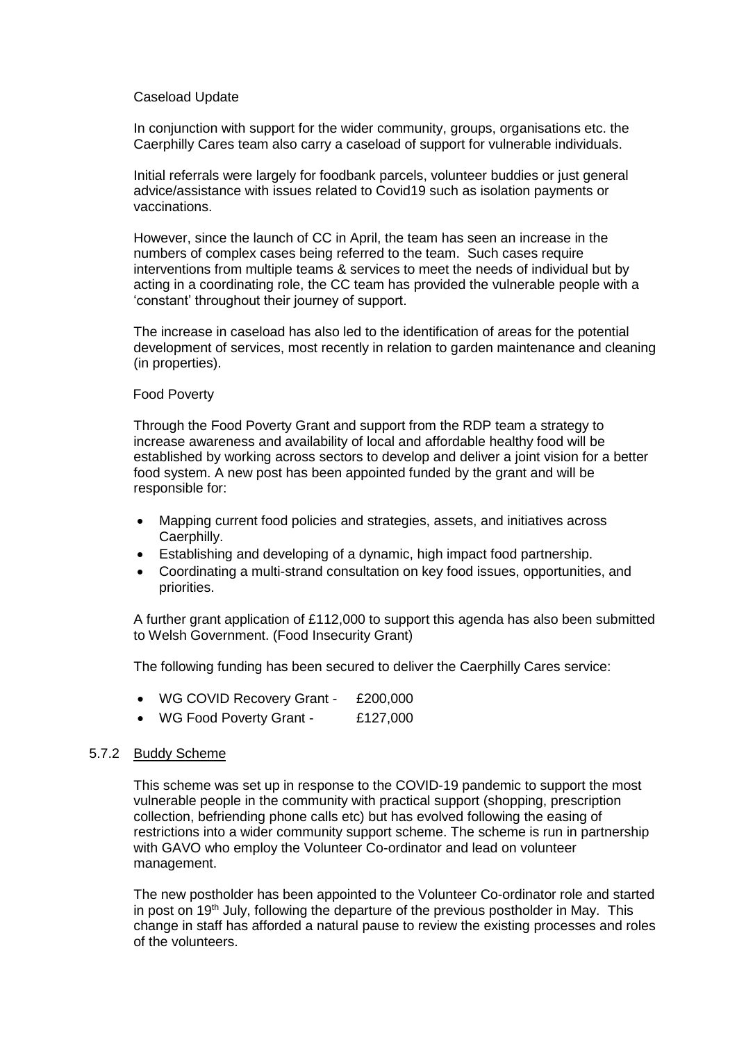#### Caseload Update

In conjunction with support for the wider community, groups, organisations etc. the Caerphilly Cares team also carry a caseload of support for vulnerable individuals.

Initial referrals were largely for foodbank parcels, volunteer buddies or just general advice/assistance with issues related to Covid19 such as isolation payments or vaccinations.

However, since the launch of CC in April, the team has seen an increase in the numbers of complex cases being referred to the team. Such cases require interventions from multiple teams & services to meet the needs of individual but by acting in a coordinating role, the CC team has provided the vulnerable people with a 'constant' throughout their journey of support.

The increase in caseload has also led to the identification of areas for the potential development of services, most recently in relation to garden maintenance and cleaning (in properties).

### Food Poverty

Through the Food Poverty Grant and support from the RDP team a strategy to increase awareness and availability of local and affordable healthy food will be established by working across sectors to develop and deliver a joint vision for a better food system. A new post has been appointed funded by the grant and will be responsible for:

- Mapping current food policies and strategies, assets, and initiatives across Caerphilly.
- Establishing and developing of a dynamic, high impact food partnership.
- Coordinating a multi-strand consultation on key food issues, opportunities, and priorities.

A further grant application of £112,000 to support this agenda has also been submitted to Welsh Government. (Food Insecurity Grant)

The following funding has been secured to deliver the Caerphilly Cares service:

- WG COVID Recovery Grant £200,000
- WG Food Poverty Grant £127,000

# 5.7.2 Buddy Scheme

This scheme was set up in response to the COVID-19 pandemic to support the most vulnerable people in the community with practical support (shopping, prescription collection, befriending phone calls etc) but has evolved following the easing of restrictions into a wider community support scheme. The scheme is run in partnership with GAVO who employ the Volunteer Co-ordinator and lead on volunteer management.

The new postholder has been appointed to the Volunteer Co-ordinator role and started in post on 19th July, following the departure of the previous postholder in May. This change in staff has afforded a natural pause to review the existing processes and roles of the volunteers.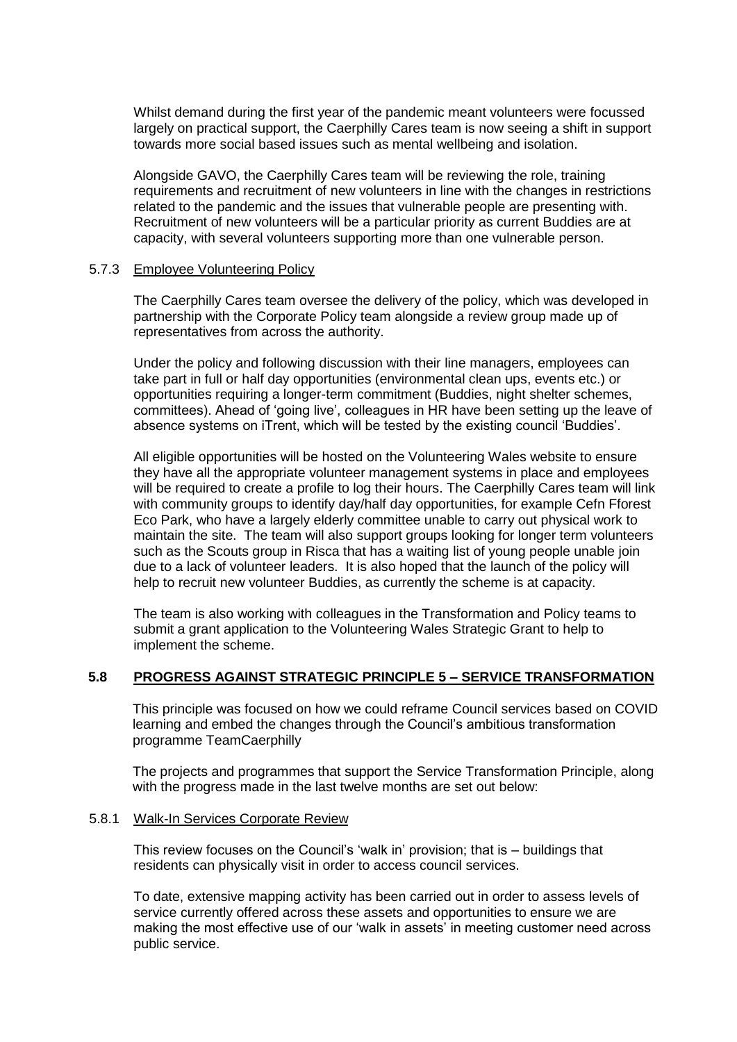Whilst demand during the first year of the pandemic meant volunteers were focussed largely on practical support, the Caerphilly Cares team is now seeing a shift in support towards more social based issues such as mental wellbeing and isolation.

Alongside GAVO, the Caerphilly Cares team will be reviewing the role, training requirements and recruitment of new volunteers in line with the changes in restrictions related to the pandemic and the issues that vulnerable people are presenting with. Recruitment of new volunteers will be a particular priority as current Buddies are at capacity, with several volunteers supporting more than one vulnerable person.

#### 5.7.3 Employee Volunteering Policy

The Caerphilly Cares team oversee the delivery of the policy, which was developed in partnership with the Corporate Policy team alongside a review group made up of representatives from across the authority.

Under the policy and following discussion with their line managers, employees can take part in full or half day opportunities (environmental clean ups, events etc.) or opportunities requiring a longer-term commitment (Buddies, night shelter schemes, committees). Ahead of 'going live', colleagues in HR have been setting up the leave of absence systems on iTrent, which will be tested by the existing council 'Buddies'.

All eligible opportunities will be hosted on the Volunteering Wales website to ensure they have all the appropriate volunteer management systems in place and employees will be required to create a profile to log their hours. The Caerphilly Cares team will link with community groups to identify day/half day opportunities, for example Cefn Fforest Eco Park, who have a largely elderly committee unable to carry out physical work to maintain the site. The team will also support groups looking for longer term volunteers such as the Scouts group in Risca that has a waiting list of young people unable join due to a lack of volunteer leaders. It is also hoped that the launch of the policy will help to recruit new volunteer Buddies, as currently the scheme is at capacity.

The team is also working with colleagues in the Transformation and Policy teams to submit a grant application to the Volunteering Wales Strategic Grant to help to implement the scheme.

# **5.8 PROGRESS AGAINST STRATEGIC PRINCIPLE 5 – SERVICE TRANSFORMATION**

This principle was focused on how we could reframe Council services based on COVID learning and embed the changes through the Council's ambitious transformation programme TeamCaerphilly

The projects and programmes that support the Service Transformation Principle, along with the progress made in the last twelve months are set out below:

#### 5.8.1 Walk-In Services Corporate Review

This review focuses on the Council's 'walk in' provision; that is – buildings that residents can physically visit in order to access council services.

To date, extensive mapping activity has been carried out in order to assess levels of service currently offered across these assets and opportunities to ensure we are making the most effective use of our 'walk in assets' in meeting customer need across public service.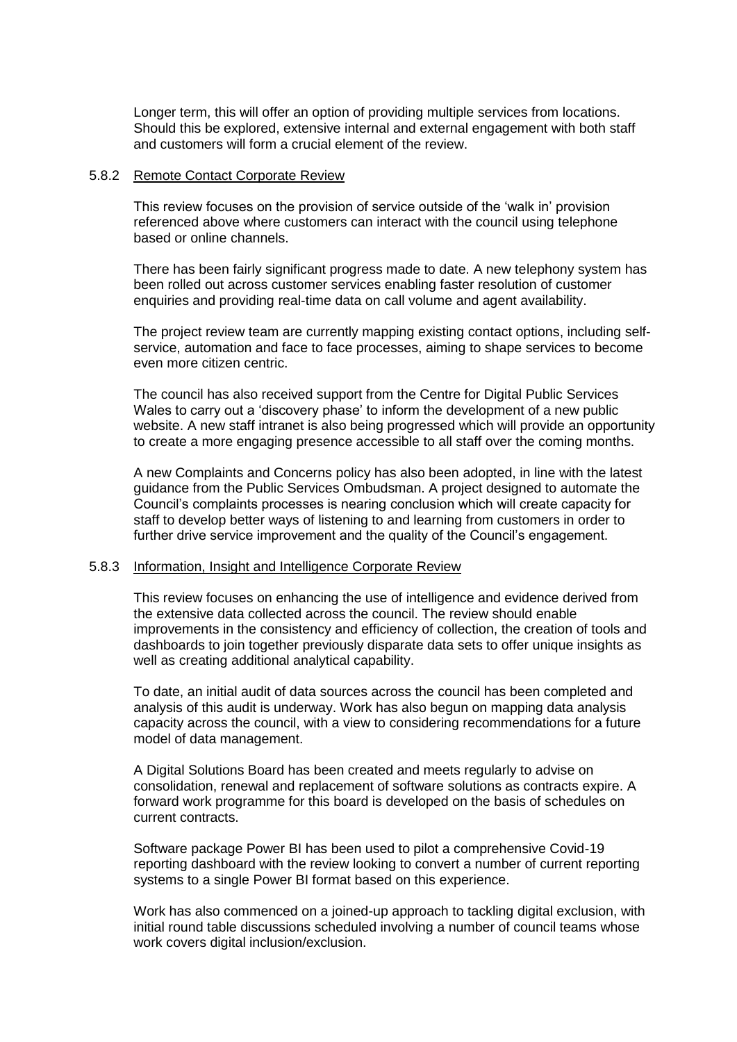Longer term, this will offer an option of providing multiple services from locations. Should this be explored, extensive internal and external engagement with both staff and customers will form a crucial element of the review.

#### 5.8.2 Remote Contact Corporate Review

This review focuses on the provision of service outside of the 'walk in' provision referenced above where customers can interact with the council using telephone based or online channels.

There has been fairly significant progress made to date. A new telephony system has been rolled out across customer services enabling faster resolution of customer enquiries and providing real-time data on call volume and agent availability.

The project review team are currently mapping existing contact options, including selfservice, automation and face to face processes, aiming to shape services to become even more citizen centric.

The council has also received support from the Centre for Digital Public Services Wales to carry out a 'discovery phase' to inform the development of a new public website. A new staff intranet is also being progressed which will provide an opportunity to create a more engaging presence accessible to all staff over the coming months.

A new Complaints and Concerns policy has also been adopted, in line with the latest guidance from the Public Services Ombudsman. A project designed to automate the Council's complaints processes is nearing conclusion which will create capacity for staff to develop better ways of listening to and learning from customers in order to further drive service improvement and the quality of the Council's engagement.

#### 5.8.3 Information, Insight and Intelligence Corporate Review

This review focuses on enhancing the use of intelligence and evidence derived from the extensive data collected across the council. The review should enable improvements in the consistency and efficiency of collection, the creation of tools and dashboards to join together previously disparate data sets to offer unique insights as well as creating additional analytical capability.

To date, an initial audit of data sources across the council has been completed and analysis of this audit is underway. Work has also begun on mapping data analysis capacity across the council, with a view to considering recommendations for a future model of data management.

A Digital Solutions Board has been created and meets regularly to advise on consolidation, renewal and replacement of software solutions as contracts expire. A forward work programme for this board is developed on the basis of schedules on current contracts.

Software package Power BI has been used to pilot a comprehensive Covid-19 reporting dashboard with the review looking to convert a number of current reporting systems to a single Power BI format based on this experience.

Work has also commenced on a joined-up approach to tackling digital exclusion, with initial round table discussions scheduled involving a number of council teams whose work covers digital inclusion/exclusion.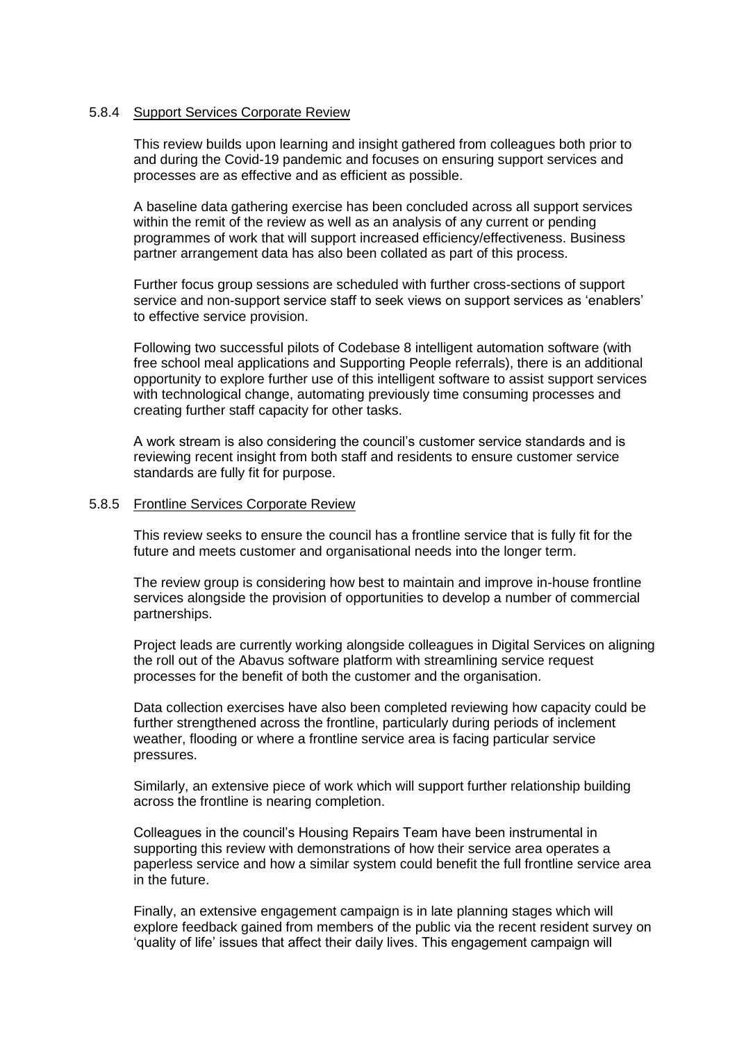### 5.8.4 Support Services Corporate Review

This review builds upon learning and insight gathered from colleagues both prior to and during the Covid-19 pandemic and focuses on ensuring support services and processes are as effective and as efficient as possible.

A baseline data gathering exercise has been concluded across all support services within the remit of the review as well as an analysis of any current or pending programmes of work that will support increased efficiency/effectiveness. Business partner arrangement data has also been collated as part of this process.

Further focus group sessions are scheduled with further cross-sections of support service and non-support service staff to seek views on support services as 'enablers' to effective service provision.

Following two successful pilots of Codebase 8 intelligent automation software (with free school meal applications and Supporting People referrals), there is an additional opportunity to explore further use of this intelligent software to assist support services with technological change, automating previously time consuming processes and creating further staff capacity for other tasks.

A work stream is also considering the council's customer service standards and is reviewing recent insight from both staff and residents to ensure customer service standards are fully fit for purpose.

#### 5.8.5 Frontline Services Corporate Review

This review seeks to ensure the council has a frontline service that is fully fit for the future and meets customer and organisational needs into the longer term.

The review group is considering how best to maintain and improve in-house frontline services alongside the provision of opportunities to develop a number of commercial partnerships.

Project leads are currently working alongside colleagues in Digital Services on aligning the roll out of the Abavus software platform with streamlining service request processes for the benefit of both the customer and the organisation.

Data collection exercises have also been completed reviewing how capacity could be further strengthened across the frontline, particularly during periods of inclement weather, flooding or where a frontline service area is facing particular service pressures.

Similarly, an extensive piece of work which will support further relationship building across the frontline is nearing completion.

Colleagues in the council's Housing Repairs Team have been instrumental in supporting this review with demonstrations of how their service area operates a paperless service and how a similar system could benefit the full frontline service area in the future.

Finally, an extensive engagement campaign is in late planning stages which will explore feedback gained from members of the public via the recent resident survey on 'quality of life' issues that affect their daily lives. This engagement campaign will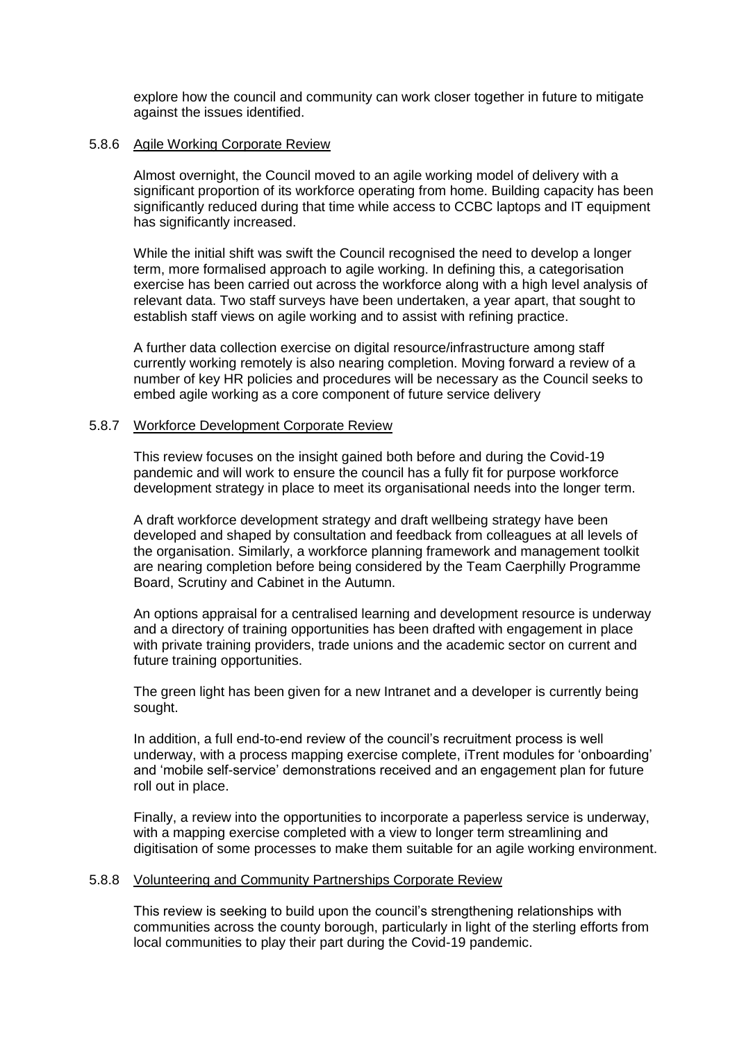explore how the council and community can work closer together in future to mitigate against the issues identified.

#### 5.8.6 Agile Working Corporate Review

Almost overnight, the Council moved to an agile working model of delivery with a significant proportion of its workforce operating from home. Building capacity has been significantly reduced during that time while access to CCBC laptops and IT equipment has significantly increased.

While the initial shift was swift the Council recognised the need to develop a longer term, more formalised approach to agile working. In defining this, a categorisation exercise has been carried out across the workforce along with a high level analysis of relevant data. Two staff surveys have been undertaken, a year apart, that sought to establish staff views on agile working and to assist with refining practice.

A further data collection exercise on digital resource/infrastructure among staff currently working remotely is also nearing completion. Moving forward a review of a number of key HR policies and procedures will be necessary as the Council seeks to embed agile working as a core component of future service delivery

#### 5.8.7 Workforce Development Corporate Review

This review focuses on the insight gained both before and during the Covid-19 pandemic and will work to ensure the council has a fully fit for purpose workforce development strategy in place to meet its organisational needs into the longer term.

A draft workforce development strategy and draft wellbeing strategy have been developed and shaped by consultation and feedback from colleagues at all levels of the organisation. Similarly, a workforce planning framework and management toolkit are nearing completion before being considered by the Team Caerphilly Programme Board, Scrutiny and Cabinet in the Autumn.

An options appraisal for a centralised learning and development resource is underway and a directory of training opportunities has been drafted with engagement in place with private training providers, trade unions and the academic sector on current and future training opportunities.

The green light has been given for a new Intranet and a developer is currently being sought.

In addition, a full end-to-end review of the council's recruitment process is well underway, with a process mapping exercise complete, iTrent modules for 'onboarding' and 'mobile self-service' demonstrations received and an engagement plan for future roll out in place.

Finally, a review into the opportunities to incorporate a paperless service is underway, with a mapping exercise completed with a view to longer term streamlining and digitisation of some processes to make them suitable for an agile working environment.

#### 5.8.8 Volunteering and Community Partnerships Corporate Review

This review is seeking to build upon the council's strengthening relationships with communities across the county borough, particularly in light of the sterling efforts from local communities to play their part during the Covid-19 pandemic.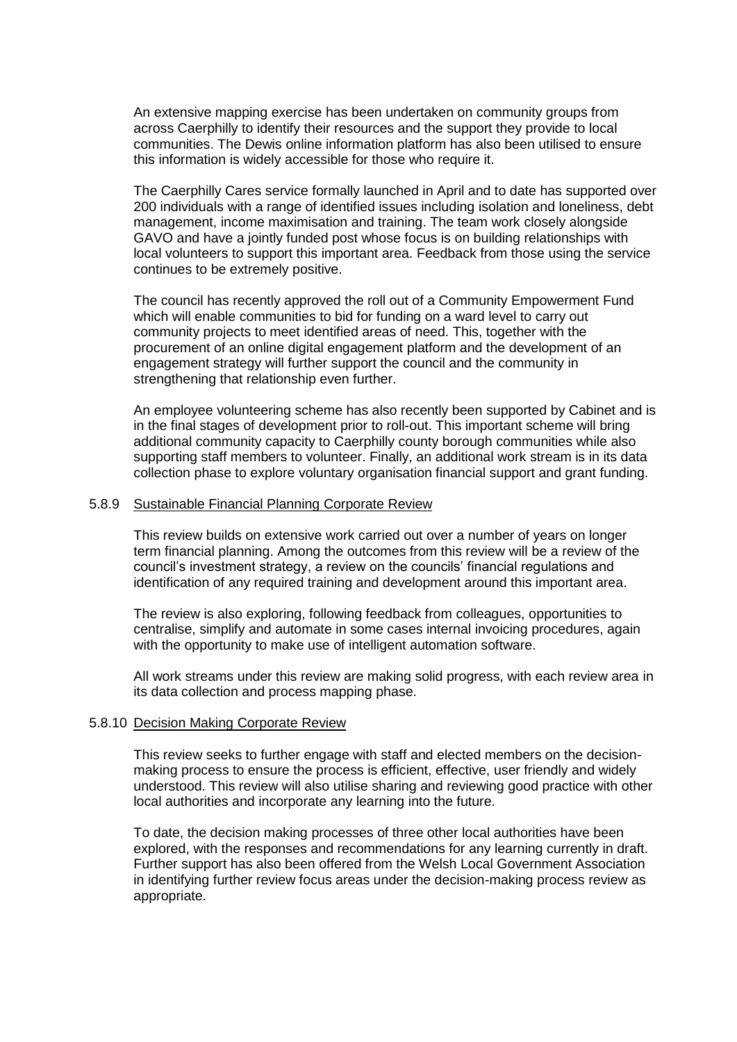An extensive mapping exercise has been undertaken on community groups from across Caerphilly to identify their resources and the support they provide to local communities. The Dewis online information platform has also been utilised to ensure this information is widely accessible for those who require it.

The Caerphilly Cares service formally launched in April and to date has supported over 200 individuals with a range of identified issues including isolation and loneliness, debt management, income maximisation and training. The team work closely alongside GAVO and have a jointly funded post whose focus is on building relationships with local volunteers to support this important area. Feedback from those using the service continues to be extremely positive.

The council has recently approved the roll out of a Community Empowerment Fund which will enable communities to bid for funding on a ward level to carry out community projects to meet identified areas of need. This, together with the procurement of an online digital engagement platform and the development of an engagement strategy will further support the council and the community in strengthening that relationship even further.

An employee volunteering scheme has also recently been supported by Cabinet and is in the final stages of development prior to roll-out. This important scheme will bring additional community capacity to Caerphilly county borough communities while also supporting staff members to volunteer. Finally, an additional work stream is in its data collection phase to explore voluntary organisation financial support and grant funding.

#### 5.8.9 Sustainable Financial Planning Corporate Review

This review builds on extensive work carried out over a number of years on longer term financial planning. Among the outcomes from this review will be a review of the council's investment strategy, a review on the councils' financial regulations and identification of any required training and development around this important area.

The review is also exploring, following feedback from colleagues, opportunities to centralise, simplify and automate in some cases internal invoicing procedures, again with the opportunity to make use of intelligent automation software.

All work streams under this review are making solid progress, with each review area in its data collection and process mapping phase.

#### 5.8.10 Decision Making Corporate Review

This review seeks to further engage with staff and elected members on the decisionmaking process to ensure the process is efficient, effective, user friendly and widely understood. This review will also utilise sharing and reviewing good practice with other local authorities and incorporate any learning into the future.

To date, the decision making processes of three other local authorities have been explored, with the responses and recommendations for any learning currently in draft. Further support has also been offered from the Welsh Local Government Association in identifying further review focus areas under the decision-making process review as appropriate.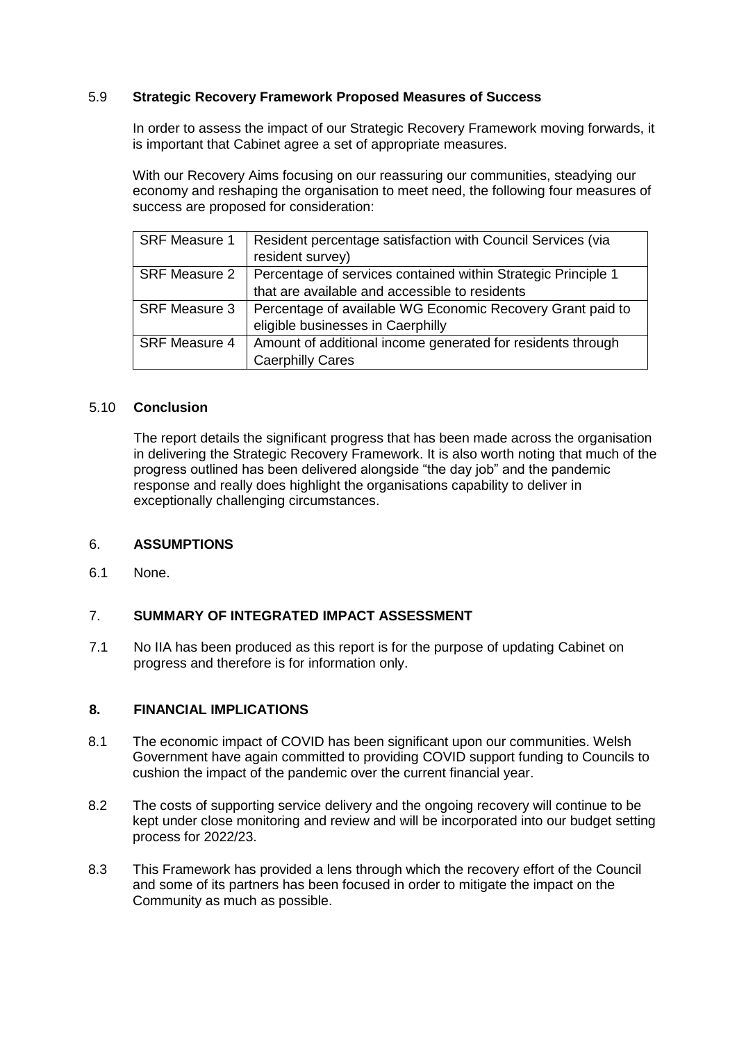# 5.9 **Strategic Recovery Framework Proposed Measures of Success**

In order to assess the impact of our Strategic Recovery Framework moving forwards, it is important that Cabinet agree a set of appropriate measures.

With our Recovery Aims focusing on our reassuring our communities, steadying our economy and reshaping the organisation to meet need, the following four measures of success are proposed for consideration:

| <b>SRF Measure 1</b> | Resident percentage satisfaction with Council Services (via   |
|----------------------|---------------------------------------------------------------|
|                      | resident survey)                                              |
| <b>SRF Measure 2</b> | Percentage of services contained within Strategic Principle 1 |
|                      | that are available and accessible to residents                |
| <b>SRF Measure 3</b> | Percentage of available WG Economic Recovery Grant paid to    |
|                      | eligible businesses in Caerphilly                             |
| <b>SRF Measure 4</b> | Amount of additional income generated for residents through   |
|                      | <b>Caerphilly Cares</b>                                       |

# 5.10 **Conclusion**

The report details the significant progress that has been made across the organisation in delivering the Strategic Recovery Framework. It is also worth noting that much of the progress outlined has been delivered alongside "the day job" and the pandemic response and really does highlight the organisations capability to deliver in exceptionally challenging circumstances.

# 6. **ASSUMPTIONS**

6.1 None.

# 7. **SUMMARY OF INTEGRATED IMPACT ASSESSMENT**

7.1 No IIA has been produced as this report is for the purpose of updating Cabinet on progress and therefore is for information only.

#### **8. FINANCIAL IMPLICATIONS**

- 8.1 The economic impact of COVID has been significant upon our communities. Welsh Government have again committed to providing COVID support funding to Councils to cushion the impact of the pandemic over the current financial year.
- 8.2 The costs of supporting service delivery and the ongoing recovery will continue to be kept under close monitoring and review and will be incorporated into our budget setting process for 2022/23.
- 8.3 This Framework has provided a lens through which the recovery effort of the Council and some of its partners has been focused in order to mitigate the impact on the Community as much as possible.